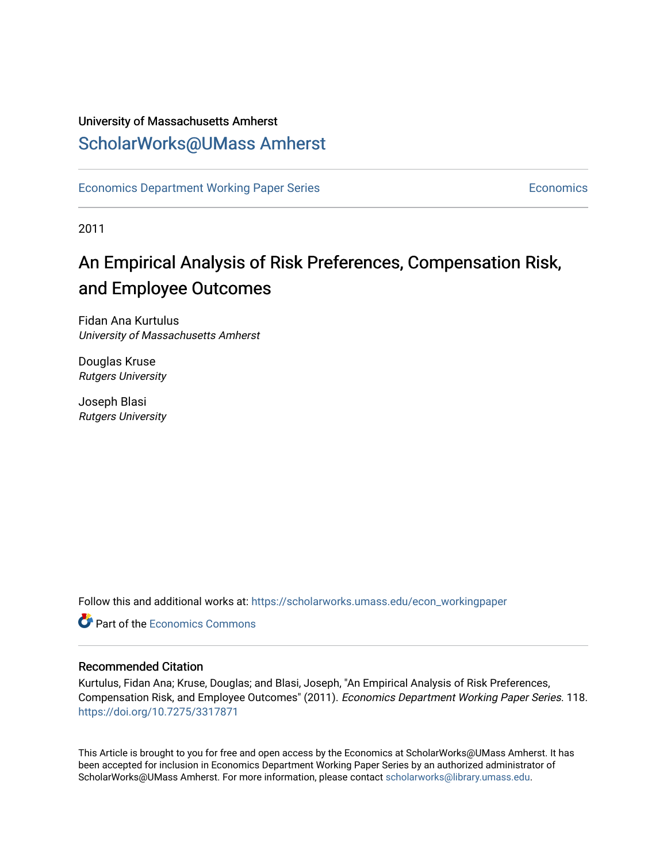### University of Massachusetts Amherst [ScholarWorks@UMass Amherst](https://scholarworks.umass.edu/)

[Economics Department Working Paper Series](https://scholarworks.umass.edu/econ_workingpaper) **Economics** [Economics](https://scholarworks.umass.edu/economics) Economics

2011

## An Empirical Analysis of Risk Preferences, Compensation Risk, and Employee Outcomes

Fidan Ana Kurtulus University of Massachusetts Amherst

Douglas Kruse Rutgers University

Joseph Blasi Rutgers University

Follow this and additional works at: [https://scholarworks.umass.edu/econ\\_workingpaper](https://scholarworks.umass.edu/econ_workingpaper?utm_source=scholarworks.umass.edu%2Fecon_workingpaper%2F118&utm_medium=PDF&utm_campaign=PDFCoverPages) 

**C** Part of the [Economics Commons](http://network.bepress.com/hgg/discipline/340?utm_source=scholarworks.umass.edu%2Fecon_workingpaper%2F118&utm_medium=PDF&utm_campaign=PDFCoverPages)

#### Recommended Citation

Kurtulus, Fidan Ana; Kruse, Douglas; and Blasi, Joseph, "An Empirical Analysis of Risk Preferences, Compensation Risk, and Employee Outcomes" (2011). Economics Department Working Paper Series. 118. <https://doi.org/10.7275/3317871>

This Article is brought to you for free and open access by the Economics at ScholarWorks@UMass Amherst. It has been accepted for inclusion in Economics Department Working Paper Series by an authorized administrator of ScholarWorks@UMass Amherst. For more information, please contact [scholarworks@library.umass.edu.](mailto:scholarworks@library.umass.edu)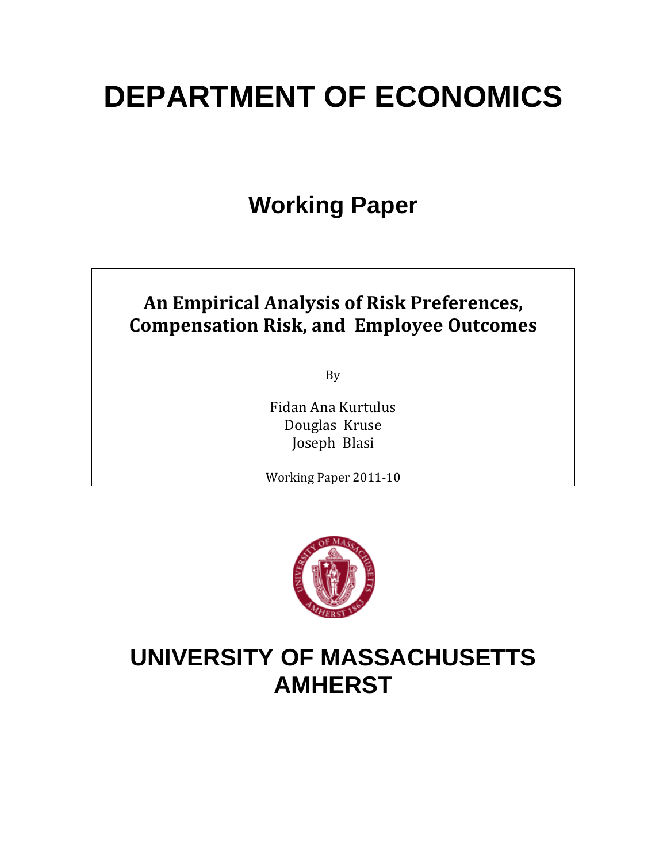# **DEPARTMENT OF ECONOMICS**

## **Working Paper**

## **An Empirical Analysis of Risk Preferences, Compensation Risk, and Employee Outcomes**

By

Fidan Ana Kurtulus Douglas Kruse Joseph Blasi

Working Paper 2011‐10



## **UNIVERSITY OF MASSACHUSETTS AMHERST**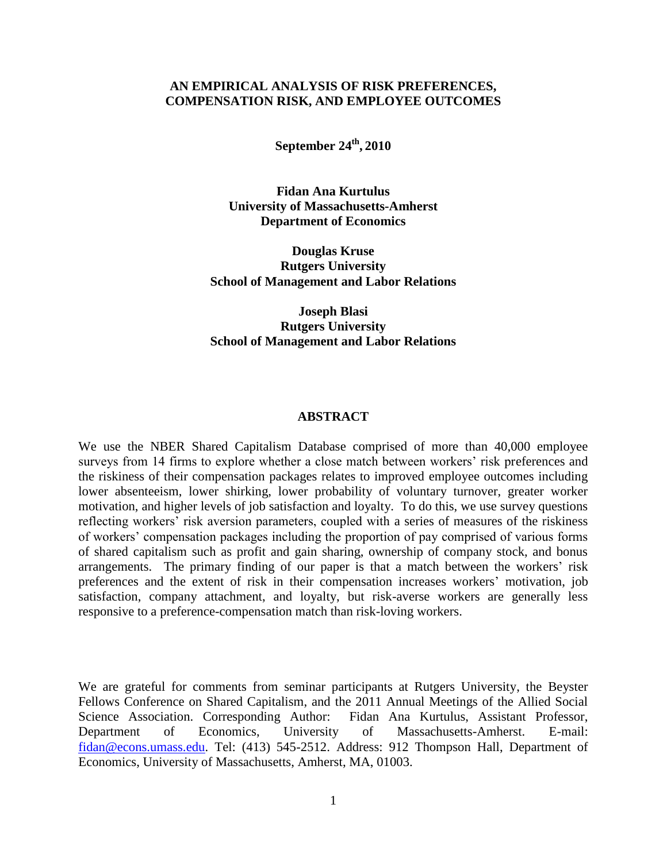#### **AN EMPIRICAL ANALYSIS OF RISK PREFERENCES, COMPENSATION RISK, AND EMPLOYEE OUTCOMES**

**September 24 th , 2010**

**Fidan Ana Kurtulus University of Massachusetts-Amherst Department of Economics**

**Douglas Kruse Rutgers University School of Management and Labor Relations**

**Joseph Blasi Rutgers University School of Management and Labor Relations**

#### **ABSTRACT**

We use the NBER Shared Capitalism Database comprised of more than 40,000 employee surveys from 14 firms to explore whether a close match between workers' risk preferences and the riskiness of their compensation packages relates to improved employee outcomes including lower absenteeism, lower shirking, lower probability of voluntary turnover, greater worker motivation, and higher levels of job satisfaction and loyalty. To do this, we use survey questions reflecting workers' risk aversion parameters, coupled with a series of measures of the riskiness of workers' compensation packages including the proportion of pay comprised of various forms of shared capitalism such as profit and gain sharing, ownership of company stock, and bonus arrangements. The primary finding of our paper is that a match between the workers' risk preferences and the extent of risk in their compensation increases workers' motivation, job satisfaction, company attachment, and loyalty, but risk-averse workers are generally less responsive to a preference-compensation match than risk-loving workers.

We are grateful for comments from seminar participants at Rutgers University, the Beyster Fellows Conference on Shared Capitalism, and the 2011 Annual Meetings of the Allied Social Science Association. Corresponding Author: Fidan Ana Kurtulus, Assistant Professor, Department of Economics, University of Massachusetts-Amherst. E-mail: [fidan@econs.umass.edu.](mailto:fidan@econs.umass.edu) Tel: (413) 545-2512. Address: 912 Thompson Hall, Department of Economics, University of Massachusetts, Amherst, MA, 01003.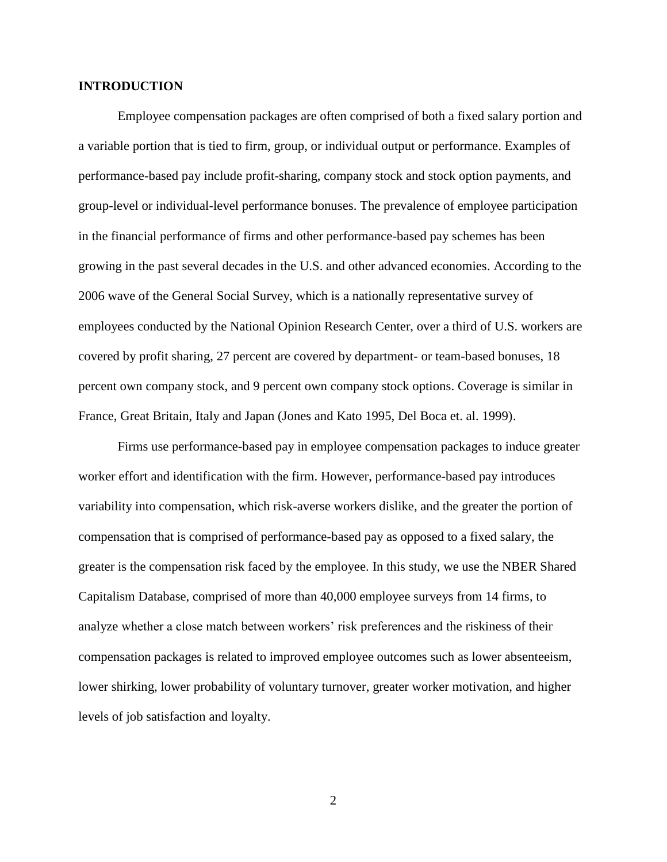#### **INTRODUCTION**

Employee compensation packages are often comprised of both a fixed salary portion and a variable portion that is tied to firm, group, or individual output or performance. Examples of performance-based pay include profit-sharing, company stock and stock option payments, and group-level or individual-level performance bonuses. The prevalence of employee participation in the financial performance of firms and other performance-based pay schemes has been growing in the past several decades in the U.S. and other advanced economies. According to the 2006 wave of the General Social Survey, which is a nationally representative survey of employees conducted by the National Opinion Research Center, over a third of U.S. workers are covered by profit sharing, 27 percent are covered by department- or team-based bonuses, 18 percent own company stock, and 9 percent own company stock options. Coverage is similar in France, Great Britain, Italy and Japan (Jones and Kato 1995, Del Boca et. al. 1999).

Firms use performance-based pay in employee compensation packages to induce greater worker effort and identification with the firm. However, performance-based pay introduces variability into compensation, which risk-averse workers dislike, and the greater the portion of compensation that is comprised of performance-based pay as opposed to a fixed salary, the greater is the compensation risk faced by the employee. In this study, we use the NBER Shared Capitalism Database, comprised of more than 40,000 employee surveys from 14 firms, to analyze whether a close match between workers' risk preferences and the riskiness of their compensation packages is related to improved employee outcomes such as lower absenteeism, lower shirking, lower probability of voluntary turnover, greater worker motivation, and higher levels of job satisfaction and loyalty.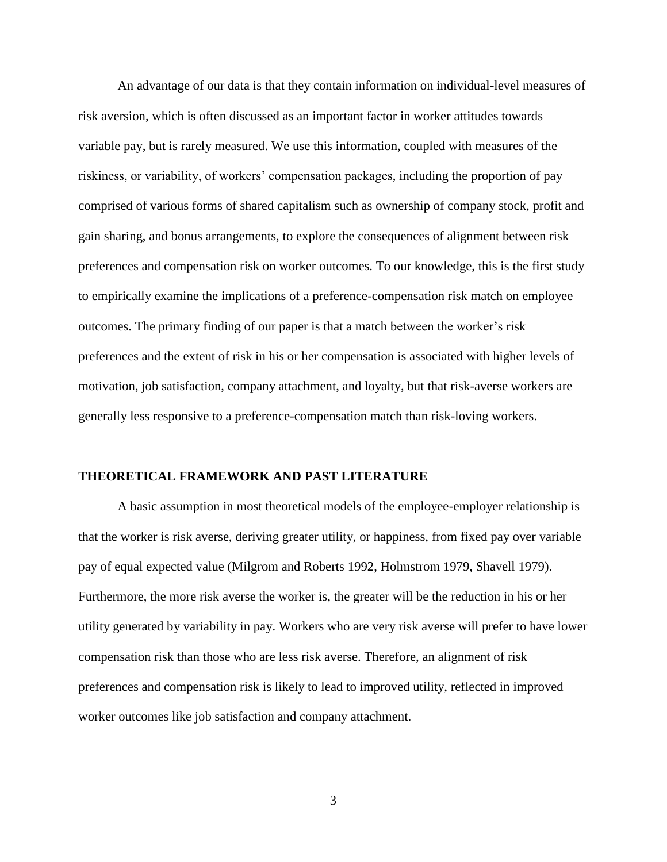An advantage of our data is that they contain information on individual-level measures of risk aversion, which is often discussed as an important factor in worker attitudes towards variable pay, but is rarely measured. We use this information, coupled with measures of the riskiness, or variability, of workers' compensation packages, including the proportion of pay comprised of various forms of shared capitalism such as ownership of company stock, profit and gain sharing, and bonus arrangements, to explore the consequences of alignment between risk preferences and compensation risk on worker outcomes. To our knowledge, this is the first study to empirically examine the implications of a preference-compensation risk match on employee outcomes. The primary finding of our paper is that a match between the worker's risk preferences and the extent of risk in his or her compensation is associated with higher levels of motivation, job satisfaction, company attachment, and loyalty, but that risk-averse workers are generally less responsive to a preference-compensation match than risk-loving workers.

#### **THEORETICAL FRAMEWORK AND PAST LITERATURE**

A basic assumption in most theoretical models of the employee-employer relationship is that the worker is risk averse, deriving greater utility, or happiness, from fixed pay over variable pay of equal expected value (Milgrom and Roberts 1992, Holmstrom 1979, Shavell 1979). Furthermore, the more risk averse the worker is, the greater will be the reduction in his or her utility generated by variability in pay. Workers who are very risk averse will prefer to have lower compensation risk than those who are less risk averse. Therefore, an alignment of risk preferences and compensation risk is likely to lead to improved utility, reflected in improved worker outcomes like job satisfaction and company attachment.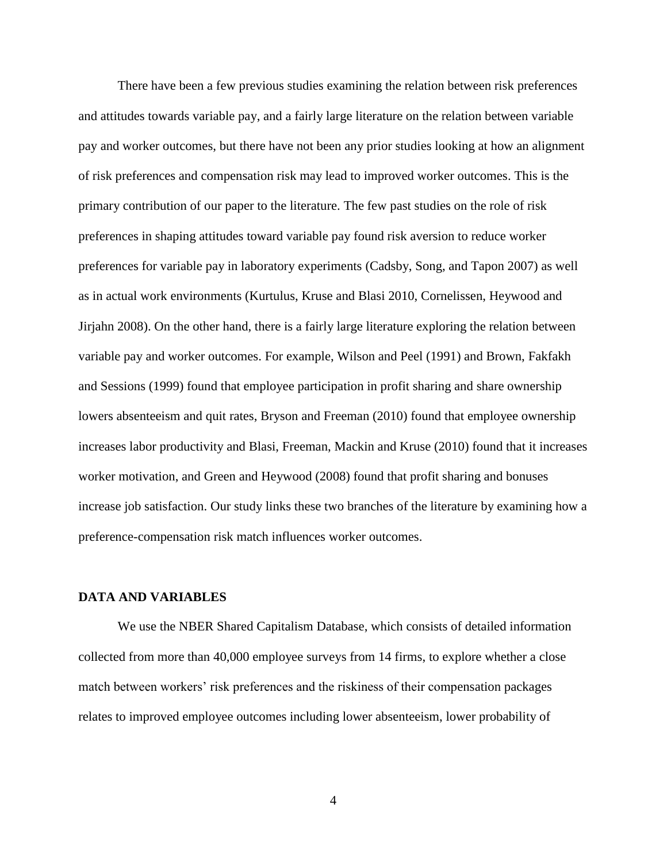There have been a few previous studies examining the relation between risk preferences and attitudes towards variable pay, and a fairly large literature on the relation between variable pay and worker outcomes, but there have not been any prior studies looking at how an alignment of risk preferences and compensation risk may lead to improved worker outcomes. This is the primary contribution of our paper to the literature. The few past studies on the role of risk preferences in shaping attitudes toward variable pay found risk aversion to reduce worker preferences for variable pay in laboratory experiments (Cadsby, Song, and Tapon 2007) as well as in actual work environments (Kurtulus, Kruse and Blasi 2010, Cornelissen, Heywood and Jirjahn 2008). On the other hand, there is a fairly large literature exploring the relation between variable pay and worker outcomes. For example, Wilson and Peel (1991) and Brown, Fakfakh and Sessions (1999) found that employee participation in profit sharing and share ownership lowers absenteeism and quit rates, Bryson and Freeman (2010) found that employee ownership increases labor productivity and Blasi, Freeman, Mackin and Kruse (2010) found that it increases worker motivation, and Green and Heywood (2008) found that profit sharing and bonuses increase job satisfaction. Our study links these two branches of the literature by examining how a preference-compensation risk match influences worker outcomes.

#### **DATA AND VARIABLES**

We use the NBER Shared Capitalism Database, which consists of detailed information collected from more than 40,000 employee surveys from 14 firms, to explore whether a close match between workers' risk preferences and the riskiness of their compensation packages relates to improved employee outcomes including lower absenteeism, lower probability of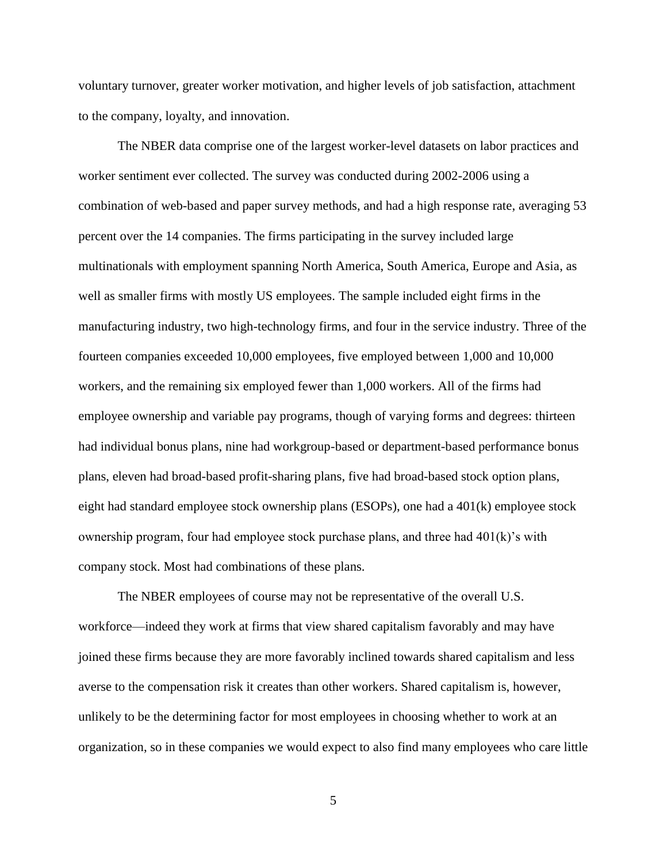voluntary turnover, greater worker motivation, and higher levels of job satisfaction, attachment to the company, loyalty, and innovation.

The NBER data comprise one of the largest worker-level datasets on labor practices and worker sentiment ever collected. The survey was conducted during 2002-2006 using a combination of web-based and paper survey methods, and had a high response rate, averaging 53 percent over the 14 companies. The firms participating in the survey included large multinationals with employment spanning North America, South America, Europe and Asia, as well as smaller firms with mostly US employees. The sample included eight firms in the manufacturing industry, two high-technology firms, and four in the service industry. Three of the fourteen companies exceeded 10,000 employees, five employed between 1,000 and 10,000 workers, and the remaining six employed fewer than 1,000 workers. All of the firms had employee ownership and variable pay programs, though of varying forms and degrees: thirteen had individual bonus plans, nine had workgroup-based or department-based performance bonus plans, eleven had broad-based profit-sharing plans, five had broad-based stock option plans, eight had standard employee stock ownership plans (ESOPs), one had a 401(k) employee stock ownership program, four had employee stock purchase plans, and three had 401(k)'s with company stock. Most had combinations of these plans.

The NBER employees of course may not be representative of the overall U.S. workforce—indeed they work at firms that view shared capitalism favorably and may have joined these firms because they are more favorably inclined towards shared capitalism and less averse to the compensation risk it creates than other workers. Shared capitalism is, however, unlikely to be the determining factor for most employees in choosing whether to work at an organization, so in these companies we would expect to also find many employees who care little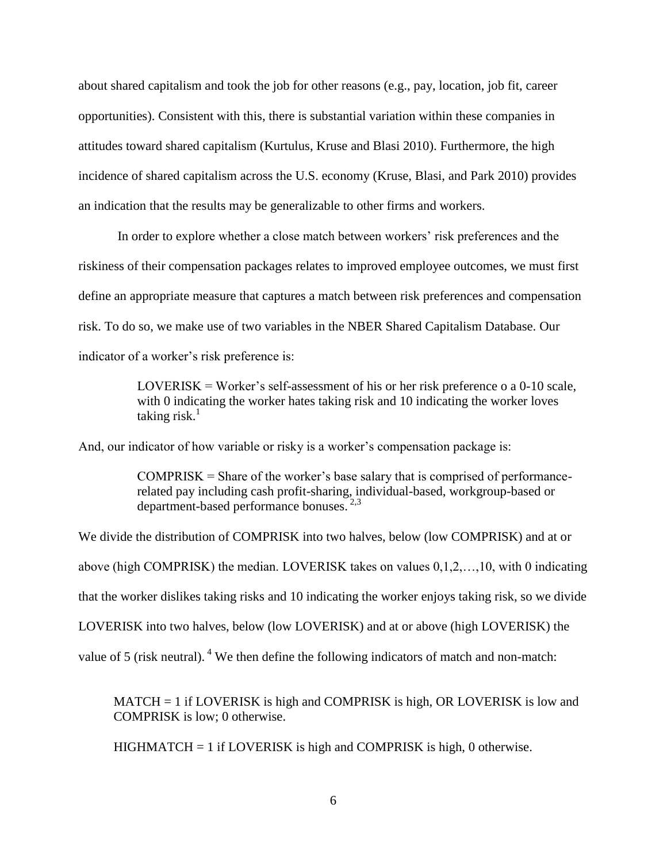about shared capitalism and took the job for other reasons (e.g., pay, location, job fit, career opportunities). Consistent with this, there is substantial variation within these companies in attitudes toward shared capitalism (Kurtulus, Kruse and Blasi 2010). Furthermore, the high incidence of shared capitalism across the U.S. economy (Kruse, Blasi, and Park 2010) provides an indication that the results may be generalizable to other firms and workers.

In order to explore whether a close match between workers' risk preferences and the riskiness of their compensation packages relates to improved employee outcomes, we must first define an appropriate measure that captures a match between risk preferences and compensation risk. To do so, we make use of two variables in the NBER Shared Capitalism Database. Our indicator of a worker's risk preference is:

> LOVERISK = Worker's self-assessment of his or her risk preference o a  $0-10$  scale, with 0 indicating the worker hates taking risk and 10 indicating the worker loves taking risk. $^1$

And, our indicator of how variable or risky is a worker's compensation package is:

 $COMPRISK =$  Share of the worker's base salary that is comprised of performancerelated pay including cash profit-sharing, individual-based, workgroup-based or department-based performance bonuses. 2,3

We divide the distribution of COMPRISK into two halves, below (low COMPRISK) and at or above (high COMPRISK) the median. LOVERISK takes on values 0,1,2,…,10, with 0 indicating that the worker dislikes taking risks and 10 indicating the worker enjoys taking risk, so we divide LOVERISK into two halves, below (low LOVERISK) and at or above (high LOVERISK) the value of 5 (risk neutral). <sup>4</sup> We then define the following indicators of match and non-match:

MATCH = 1 if LOVERISK is high and COMPRISK is high, OR LOVERISK is low and COMPRISK is low; 0 otherwise.

 $HIGHMATCH = 1$  if LOVERISK is high and COMPRISK is high, 0 otherwise.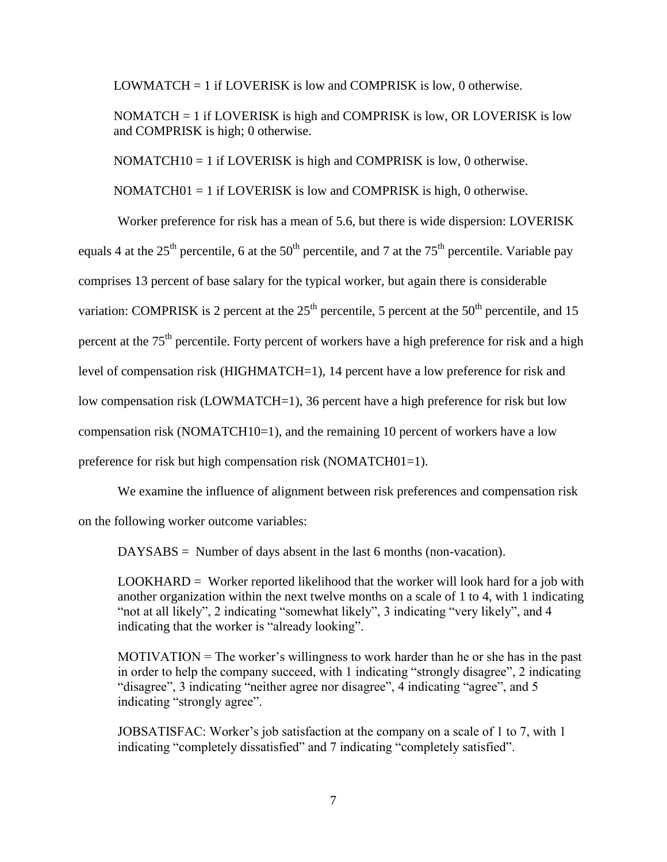LOWMATCH = 1 if LOVERISK is low and COMPRISK is low, 0 otherwise.

NOMATCH  $= 1$  if LOVERISK is high and COMPRISK is low, OR LOVERISK is low and COMPRISK is high; 0 otherwise.

NOMATCH $10 = 1$  if LOVERISK is high and COMPRISK is low, 0 otherwise.

NOMATCH $01 = 1$  if LOVERISK is low and COMPRISK is high, 0 otherwise.

Worker preference for risk has a mean of 5.6, but there is wide dispersion: LOVERISK equals 4 at the  $25<sup>th</sup>$  percentile, 6 at the  $50<sup>th</sup>$  percentile, and 7 at the  $75<sup>th</sup>$  percentile. Variable pay comprises 13 percent of base salary for the typical worker, but again there is considerable variation: COMPRISK is 2 percent at the  $25<sup>th</sup>$  percentile, 5 percent at the  $50<sup>th</sup>$  percentile, and 15 percent at the  $75<sup>th</sup>$  percentile. Forty percent of workers have a high preference for risk and a high level of compensation risk (HIGHMATCH=1), 14 percent have a low preference for risk and low compensation risk (LOWMATCH=1), 36 percent have a high preference for risk but low compensation risk (NOMATCH10=1), and the remaining 10 percent of workers have a low preference for risk but high compensation risk (NOMATCH01=1).

We examine the influence of alignment between risk preferences and compensation risk

on the following worker outcome variables:

DAYSABS = Number of days absent in the last 6 months (non-vacation).

LOOKHARD = Worker reported likelihood that the worker will look hard for a job with another organization within the next twelve months on a scale of 1 to 4, with 1 indicating "not at all likely", 2 indicating "somewhat likely", 3 indicating "very likely", and 4 indicating that the worker is "already looking".

 $MOTIVATION = The worker's willingness to work harder than he or she has in the past$ in order to help the company succeed, with 1 indicating "strongly disagree", 2 indicating "disagree", 3 indicating "neither agree nor disagree", 4 indicating "agree", and 5 indicating "strongly agree".

JOBSATISFAC: Worker's job satisfaction at the company on a scale of 1 to 7, with 1 indicating "completely dissatisfied" and 7 indicating "completely satisfied".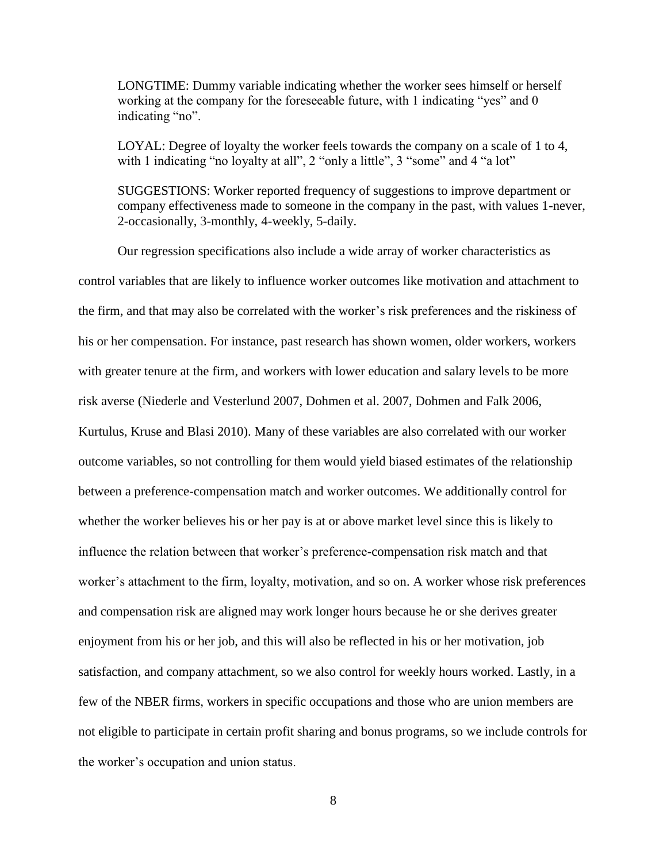LONGTIME: Dummy variable indicating whether the worker sees himself or herself working at the company for the foreseeable future, with 1 indicating "yes" and 0 indicating "no".

LOYAL: Degree of loyalty the worker feels towards the company on a scale of 1 to 4, with 1 indicating "no loyalty at all", 2 "only a little", 3 "some" and 4 "a lot"

SUGGESTIONS: Worker reported frequency of suggestions to improve department or company effectiveness made to someone in the company in the past, with values 1-never, 2-occasionally, 3-monthly, 4-weekly, 5-daily.

Our regression specifications also include a wide array of worker characteristics as control variables that are likely to influence worker outcomes like motivation and attachment to the firm, and that may also be correlated with the worker's risk preferences and the riskiness of his or her compensation. For instance, past research has shown women, older workers, workers with greater tenure at the firm, and workers with lower education and salary levels to be more risk averse (Niederle and Vesterlund 2007, Dohmen et al. 2007, Dohmen and Falk 2006, Kurtulus, Kruse and Blasi 2010). Many of these variables are also correlated with our worker outcome variables, so not controlling for them would yield biased estimates of the relationship between a preference-compensation match and worker outcomes. We additionally control for whether the worker believes his or her pay is at or above market level since this is likely to influence the relation between that worker's preference-compensation risk match and that worker's attachment to the firm, loyalty, motivation, and so on. A worker whose risk preferences and compensation risk are aligned may work longer hours because he or she derives greater enjoyment from his or her job, and this will also be reflected in his or her motivation, job satisfaction, and company attachment, so we also control for weekly hours worked. Lastly, in a few of the NBER firms, workers in specific occupations and those who are union members are not eligible to participate in certain profit sharing and bonus programs, so we include controls for the worker's occupation and union status.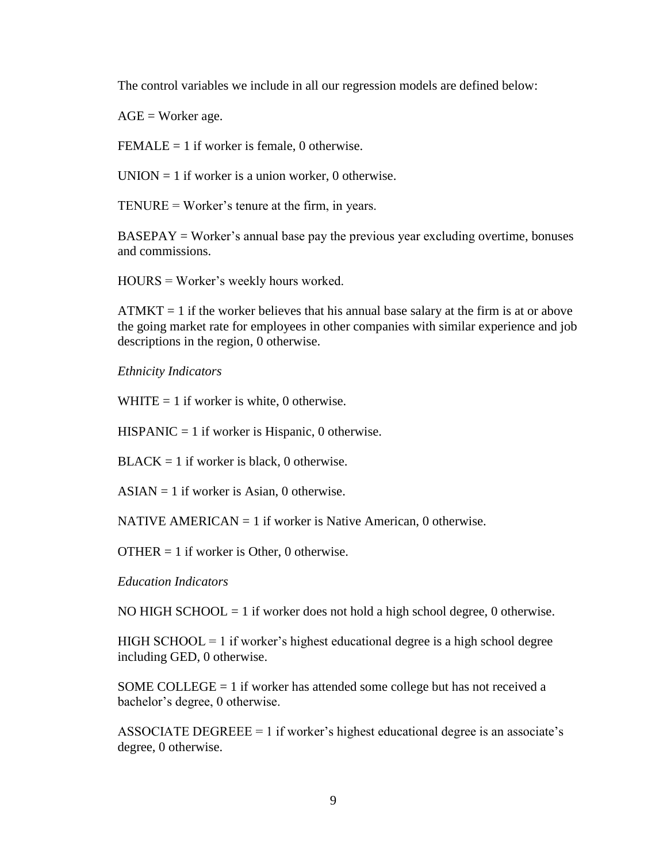The control variables we include in all our regression models are defined below:

 $AGE = Worker age.$ 

FEMALE = 1 if worker is female, 0 otherwise.

 $UNION = 1$  if worker is a union worker, 0 otherwise.

TENURE = Worker's tenure at the firm, in years.

 $BASEPAY = Worker's annual base pay the previous year excluding overtime, bonus$ and commissions.

HOURS = Worker's weekly hours worked.

 $ATMKT = 1$  if the worker believes that his annual base salary at the firm is at or above the going market rate for employees in other companies with similar experience and job descriptions in the region, 0 otherwise.

*Ethnicity Indicators*

WHITE  $= 1$  if worker is white, 0 otherwise.

 $HISPANIC = 1$  if worker is Hispanic, 0 otherwise.

 $BLACK = 1$  if worker is black, 0 otherwise.

 $ASIAN = 1$  if worker is Asian, 0 otherwise.

NATIVE AMERICAN  $= 1$  if worker is Native American, 0 otherwise.

OTHER = 1 if worker is Other, 0 otherwise.

*Education Indicators*

NO HIGH SCHOOL  $= 1$  if worker does not hold a high school degree, 0 otherwise.

 $HIGH SCHOOL = 1$  if worker's highest educational degree is a high school degree including GED, 0 otherwise.

SOME COLLEGE  $= 1$  if worker has attended some college but has not received a bachelor's degree, 0 otherwise.

ASSOCIATE DEGREEE = 1 if worker's highest educational degree is an associate's degree, 0 otherwise.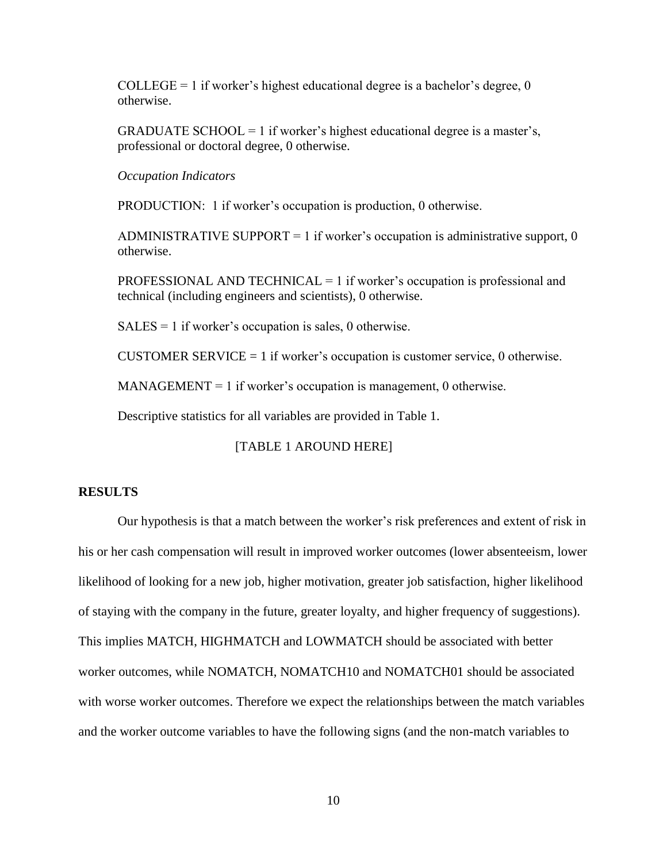COLLEGE = 1 if worker's highest educational degree is a bachelor's degree,  $0$ otherwise.

GRADUATE SCHOOL = 1 if worker's highest educational degree is a master's, professional or doctoral degree, 0 otherwise.

*Occupation Indicators*

PRODUCTION: 1 if worker's occupation is production, 0 otherwise.

ADMINISTRATIVE SUPPORT = 1 if worker's occupation is administrative support,  $0$ otherwise.

PROFESSIONAL AND TECHNICAL  $= 1$  if worker's occupation is professional and technical (including engineers and scientists), 0 otherwise.

 $SALES = 1$  if worker's occupation is sales, 0 otherwise.

CUSTOMER SERVICE  $= 1$  if worker's occupation is customer service, 0 otherwise.

 $MANAGEMENT = 1$  if worker's occupation is management, 0 otherwise.

Descriptive statistics for all variables are provided in Table 1.

#### [TABLE 1 AROUND HERE]

#### **RESULTS**

Our hypothesis is that a match between the worker's risk preferences and extent of risk in his or her cash compensation will result in improved worker outcomes (lower absenteeism, lower likelihood of looking for a new job, higher motivation, greater job satisfaction, higher likelihood of staying with the company in the future, greater loyalty, and higher frequency of suggestions). This implies MATCH, HIGHMATCH and LOWMATCH should be associated with better worker outcomes, while NOMATCH, NOMATCH10 and NOMATCH01 should be associated with worse worker outcomes. Therefore we expect the relationships between the match variables and the worker outcome variables to have the following signs (and the non-match variables to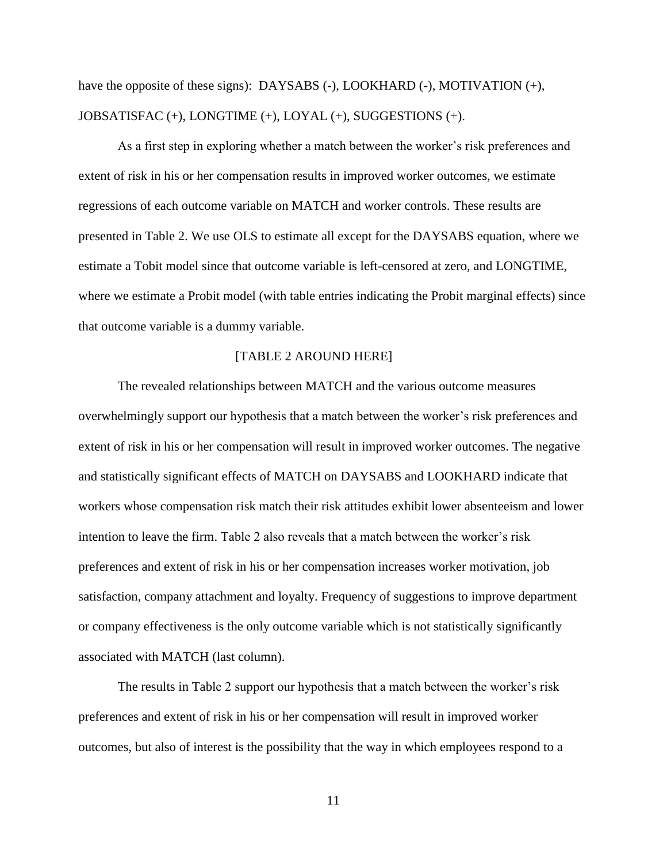have the opposite of these signs): DAYSABS  $(-)$ , LOOKHARD  $(-)$ , MOTIVATION  $(+)$ , JOBSATISFAC (+), LONGTIME (+), LOYAL (+), SUGGESTIONS (+).

As a first step in exploring whether a match between the worker's risk preferences and extent of risk in his or her compensation results in improved worker outcomes, we estimate regressions of each outcome variable on MATCH and worker controls. These results are presented in Table 2. We use OLS to estimate all except for the DAYSABS equation, where we estimate a Tobit model since that outcome variable is left-censored at zero, and LONGTIME, where we estimate a Probit model (with table entries indicating the Probit marginal effects) since that outcome variable is a dummy variable.

#### [TABLE 2 AROUND HERE]

The revealed relationships between MATCH and the various outcome measures overwhelmingly support our hypothesis that a match between the worker's risk preferences and extent of risk in his or her compensation will result in improved worker outcomes. The negative and statistically significant effects of MATCH on DAYSABS and LOOKHARD indicate that workers whose compensation risk match their risk attitudes exhibit lower absenteeism and lower intention to leave the firm. Table 2 also reveals that a match between the worker's risk preferences and extent of risk in his or her compensation increases worker motivation, job satisfaction, company attachment and loyalty. Frequency of suggestions to improve department or company effectiveness is the only outcome variable which is not statistically significantly associated with MATCH (last column).

The results in Table 2 support our hypothesis that a match between the worker's risk preferences and extent of risk in his or her compensation will result in improved worker outcomes, but also of interest is the possibility that the way in which employees respond to a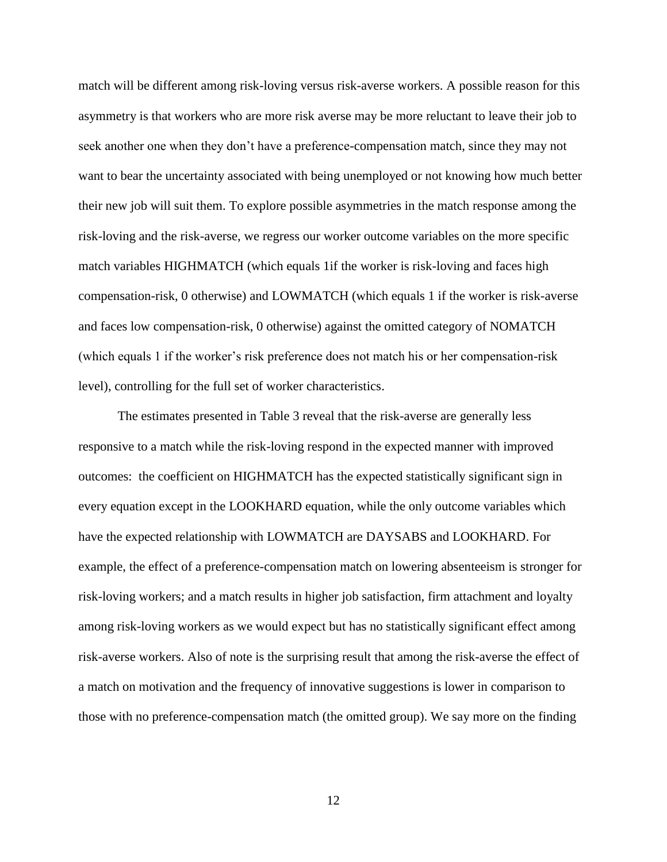match will be different among risk-loving versus risk-averse workers. A possible reason for this asymmetry is that workers who are more risk averse may be more reluctant to leave their job to seek another one when they don't have a preference-compensation match, since they may not want to bear the uncertainty associated with being unemployed or not knowing how much better their new job will suit them. To explore possible asymmetries in the match response among the risk-loving and the risk-averse, we regress our worker outcome variables on the more specific match variables HIGHMATCH (which equals 1if the worker is risk-loving and faces high compensation-risk, 0 otherwise) and LOWMATCH (which equals 1 if the worker is risk-averse and faces low compensation-risk, 0 otherwise) against the omitted category of NOMATCH (which equals 1 if the worker's risk preference does not match his or her compensation-risk level), controlling for the full set of worker characteristics.

The estimates presented in Table 3 reveal that the risk-averse are generally less responsive to a match while the risk-loving respond in the expected manner with improved outcomes: the coefficient on HIGHMATCH has the expected statistically significant sign in every equation except in the LOOKHARD equation, while the only outcome variables which have the expected relationship with LOWMATCH are DAYSABS and LOOKHARD. For example, the effect of a preference-compensation match on lowering absenteeism is stronger for risk-loving workers; and a match results in higher job satisfaction, firm attachment and loyalty among risk-loving workers as we would expect but has no statistically significant effect among risk-averse workers. Also of note is the surprising result that among the risk-averse the effect of a match on motivation and the frequency of innovative suggestions is lower in comparison to those with no preference-compensation match (the omitted group). We say more on the finding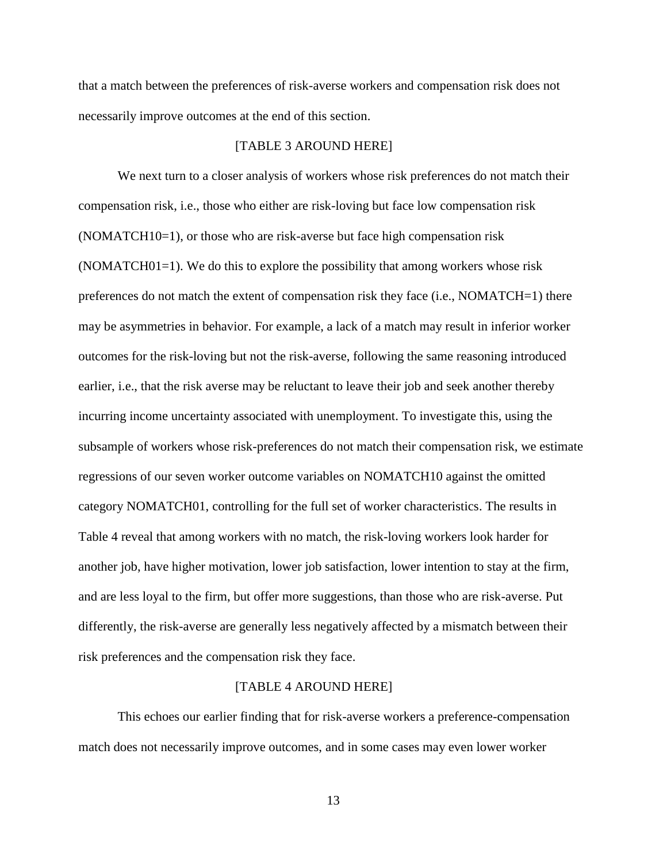that a match between the preferences of risk-averse workers and compensation risk does not necessarily improve outcomes at the end of this section.

#### [TABLE 3 AROUND HERE]

We next turn to a closer analysis of workers whose risk preferences do not match their compensation risk, i.e., those who either are risk-loving but face low compensation risk (NOMATCH10=1), or those who are risk-averse but face high compensation risk (NOMATCH01=1). We do this to explore the possibility that among workers whose risk preferences do not match the extent of compensation risk they face (i.e., NOMATCH=1) there may be asymmetries in behavior. For example, a lack of a match may result in inferior worker outcomes for the risk-loving but not the risk-averse, following the same reasoning introduced earlier, i.e., that the risk averse may be reluctant to leave their job and seek another thereby incurring income uncertainty associated with unemployment. To investigate this, using the subsample of workers whose risk-preferences do not match their compensation risk, we estimate regressions of our seven worker outcome variables on NOMATCH10 against the omitted category NOMATCH01, controlling for the full set of worker characteristics. The results in Table 4 reveal that among workers with no match, the risk-loving workers look harder for another job, have higher motivation, lower job satisfaction, lower intention to stay at the firm, and are less loyal to the firm, but offer more suggestions, than those who are risk-averse. Put differently, the risk-averse are generally less negatively affected by a mismatch between their risk preferences and the compensation risk they face.

#### [TABLE 4 AROUND HERE]

This echoes our earlier finding that for risk-averse workers a preference-compensation match does not necessarily improve outcomes, and in some cases may even lower worker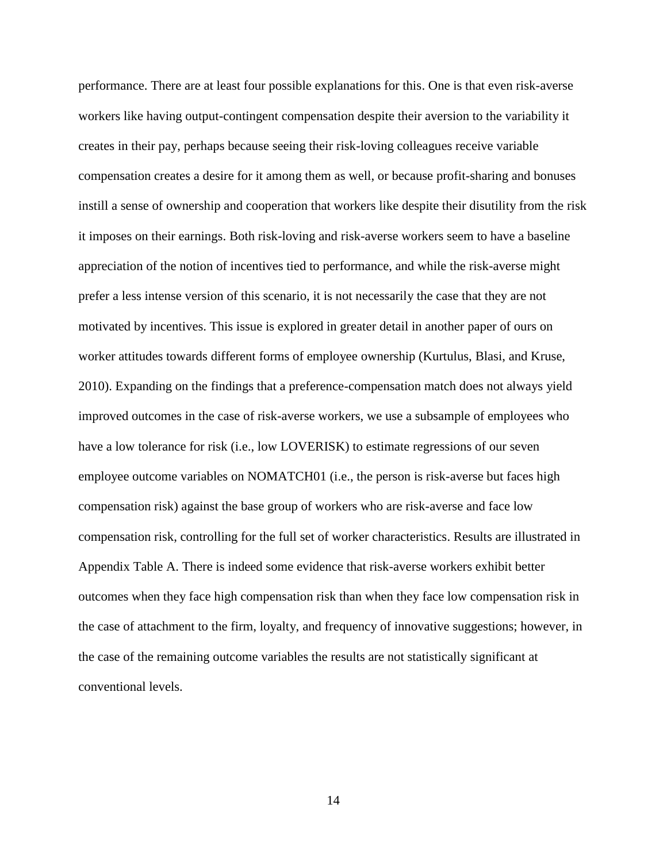performance. There are at least four possible explanations for this. One is that even risk-averse workers like having output-contingent compensation despite their aversion to the variability it creates in their pay, perhaps because seeing their risk-loving colleagues receive variable compensation creates a desire for it among them as well, or because profit-sharing and bonuses instill a sense of ownership and cooperation that workers like despite their disutility from the risk it imposes on their earnings. Both risk-loving and risk-averse workers seem to have a baseline appreciation of the notion of incentives tied to performance, and while the risk-averse might prefer a less intense version of this scenario, it is not necessarily the case that they are not motivated by incentives. This issue is explored in greater detail in another paper of ours on worker attitudes towards different forms of employee ownership (Kurtulus, Blasi, and Kruse, 2010). Expanding on the findings that a preference-compensation match does not always yield improved outcomes in the case of risk-averse workers, we use a subsample of employees who have a low tolerance for risk (i.e., low LOVERISK) to estimate regressions of our seven employee outcome variables on NOMATCH01 (i.e., the person is risk-averse but faces high compensation risk) against the base group of workers who are risk-averse and face low compensation risk, controlling for the full set of worker characteristics. Results are illustrated in Appendix Table A. There is indeed some evidence that risk-averse workers exhibit better outcomes when they face high compensation risk than when they face low compensation risk in the case of attachment to the firm, loyalty, and frequency of innovative suggestions; however, in the case of the remaining outcome variables the results are not statistically significant at conventional levels.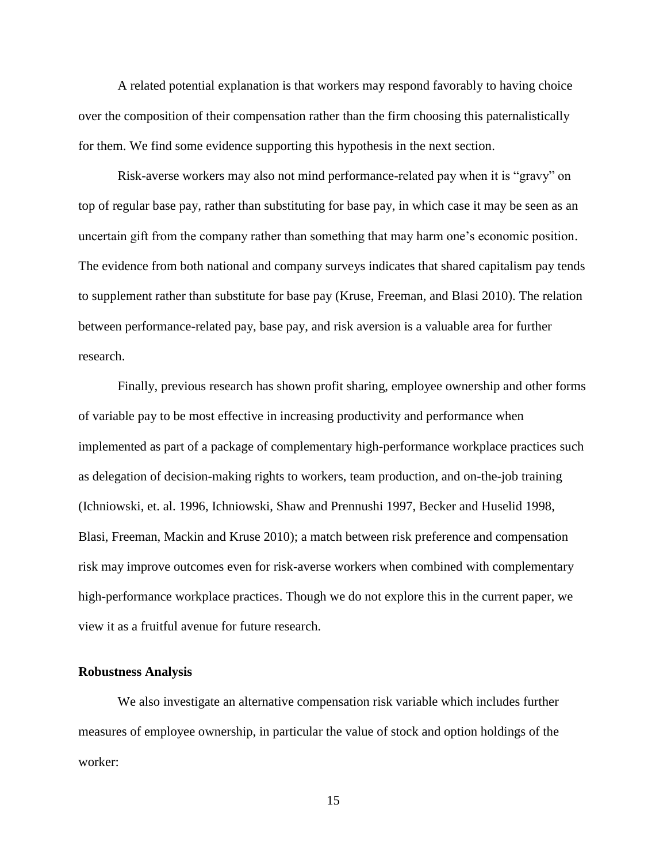A related potential explanation is that workers may respond favorably to having choice over the composition of their compensation rather than the firm choosing this paternalistically for them. We find some evidence supporting this hypothesis in the next section.

Risk-averse workers may also not mind performance-related pay when it is "gravy" on top of regular base pay, rather than substituting for base pay, in which case it may be seen as an uncertain gift from the company rather than something that may harm one's economic position. The evidence from both national and company surveys indicates that shared capitalism pay tends to supplement rather than substitute for base pay (Kruse, Freeman, and Blasi 2010). The relation between performance-related pay, base pay, and risk aversion is a valuable area for further research.

Finally, previous research has shown profit sharing, employee ownership and other forms of variable pay to be most effective in increasing productivity and performance when implemented as part of a package of complementary high-performance workplace practices such as delegation of decision-making rights to workers, team production, and on-the-job training (Ichniowski, et. al. 1996, Ichniowski, Shaw and Prennushi 1997, Becker and Huselid 1998, Blasi, Freeman, Mackin and Kruse 2010); a match between risk preference and compensation risk may improve outcomes even for risk-averse workers when combined with complementary high-performance workplace practices. Though we do not explore this in the current paper, we view it as a fruitful avenue for future research.

#### **Robustness Analysis**

We also investigate an alternative compensation risk variable which includes further measures of employee ownership, in particular the value of stock and option holdings of the worker: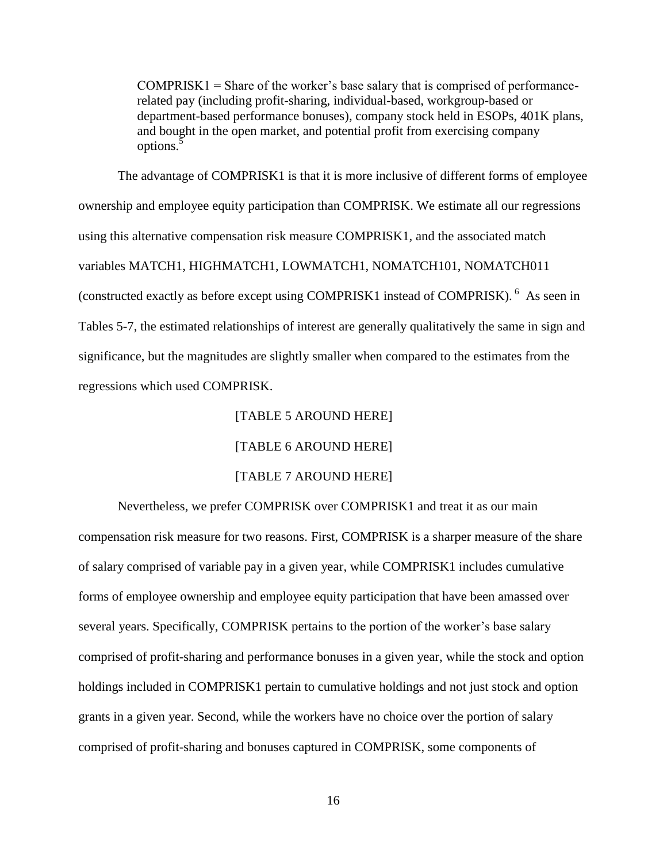$COMPRISK1 =$ Share of the worker's base salary that is comprised of performancerelated pay (including profit-sharing, individual-based, workgroup-based or department-based performance bonuses), company stock held in ESOPs, 401K plans, and bought in the open market, and potential profit from exercising company options.<sup>5</sup>

The advantage of COMPRISK1 is that it is more inclusive of different forms of employee ownership and employee equity participation than COMPRISK. We estimate all our regressions using this alternative compensation risk measure COMPRISK1, and the associated match variables MATCH1, HIGHMATCH1, LOWMATCH1, NOMATCH101, NOMATCH011 (constructed exactly as before except using COMPRISK1 instead of COMPRISK). <sup>6</sup> As seen in Tables 5-7, the estimated relationships of interest are generally qualitatively the same in sign and significance, but the magnitudes are slightly smaller when compared to the estimates from the regressions which used COMPRISK.

#### [TABLE 5 AROUND HERE]

[TABLE 6 AROUND HERE]

#### [TABLE 7 AROUND HERE]

Nevertheless, we prefer COMPRISK over COMPRISK1 and treat it as our main compensation risk measure for two reasons. First, COMPRISK is a sharper measure of the share of salary comprised of variable pay in a given year, while COMPRISK1 includes cumulative forms of employee ownership and employee equity participation that have been amassed over several years. Specifically, COMPRISK pertains to the portion of the worker's base salary comprised of profit-sharing and performance bonuses in a given year, while the stock and option holdings included in COMPRISK1 pertain to cumulative holdings and not just stock and option grants in a given year. Second, while the workers have no choice over the portion of salary comprised of profit-sharing and bonuses captured in COMPRISK, some components of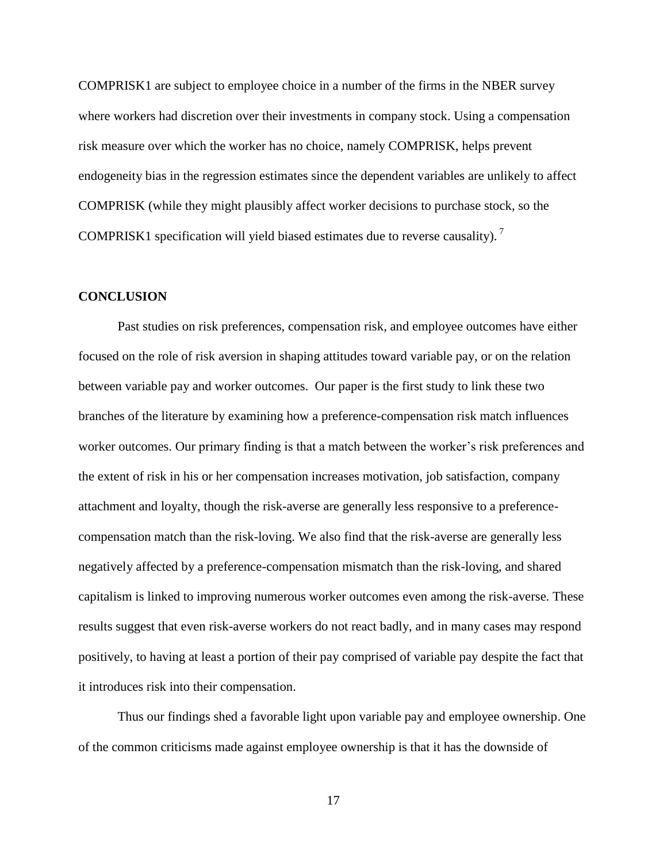COMPRISK1 are subject to employee choice in a number of the firms in the NBER survey where workers had discretion over their investments in company stock. Using a compensation risk measure over which the worker has no choice, namely COMPRISK, helps prevent endogeneity bias in the regression estimates since the dependent variables are unlikely to affect COMPRISK (while they might plausibly affect worker decisions to purchase stock, so the COMPRISK1 specification will yield biased estimates due to reverse causality).<sup>7</sup>

#### **CONCLUSION**

Past studies on risk preferences, compensation risk, and employee outcomes have either focused on the role of risk aversion in shaping attitudes toward variable pay, or on the relation between variable pay and worker outcomes. Our paper is the first study to link these two branches of the literature by examining how a preference-compensation risk match influences worker outcomes. Our primary finding is that a match between the worker's risk preferences and the extent of risk in his or her compensation increases motivation, job satisfaction, company attachment and loyalty, though the risk-averse are generally less responsive to a preferencecompensation match than the risk-loving. We also find that the risk-averse are generally less negatively affected by a preference-compensation mismatch than the risk-loving, and shared capitalism is linked to improving numerous worker outcomes even among the risk-averse. These results suggest that even risk-averse workers do not react badly, and in many cases may respond positively, to having at least a portion of their pay comprised of variable pay despite the fact that it introduces risk into their compensation.

Thus our findings shed a favorable light upon variable pay and employee ownership. One of the common criticisms made against employee ownership is that it has the downside of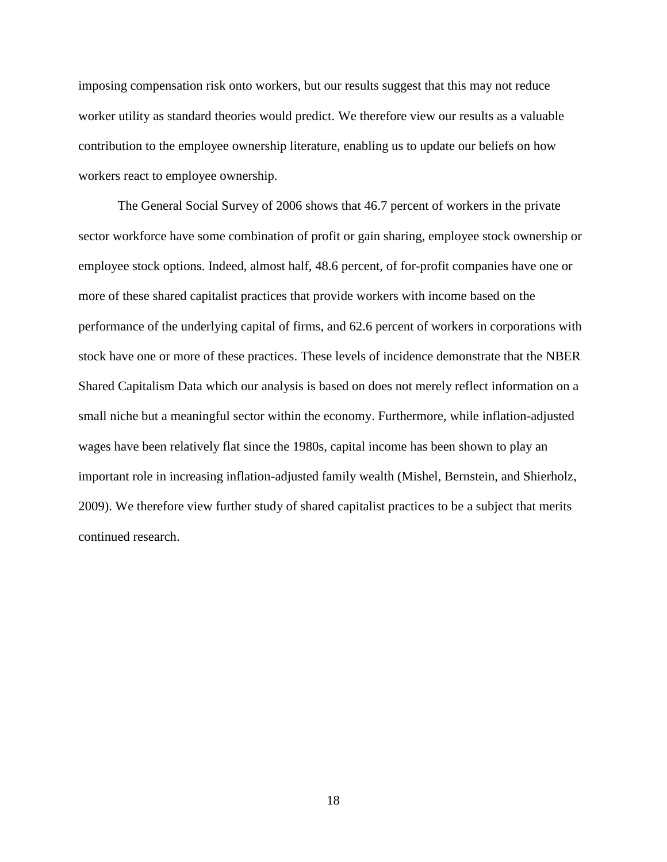imposing compensation risk onto workers, but our results suggest that this may not reduce worker utility as standard theories would predict. We therefore view our results as a valuable contribution to the employee ownership literature, enabling us to update our beliefs on how workers react to employee ownership.

The General Social Survey of 2006 shows that 46.7 percent of workers in the private sector workforce have some combination of profit or gain sharing, employee stock ownership or employee stock options. Indeed, almost half, 48.6 percent, of for-profit companies have one or more of these shared capitalist practices that provide workers with income based on the performance of the underlying capital of firms, and 62.6 percent of workers in corporations with stock have one or more of these practices. These levels of incidence demonstrate that the NBER Shared Capitalism Data which our analysis is based on does not merely reflect information on a small niche but a meaningful sector within the economy. Furthermore, while inflation-adjusted wages have been relatively flat since the 1980s, capital income has been shown to play an important role in increasing inflation-adjusted family wealth (Mishel, Bernstein, and Shierholz, 2009). We therefore view further study of shared capitalist practices to be a subject that merits continued research.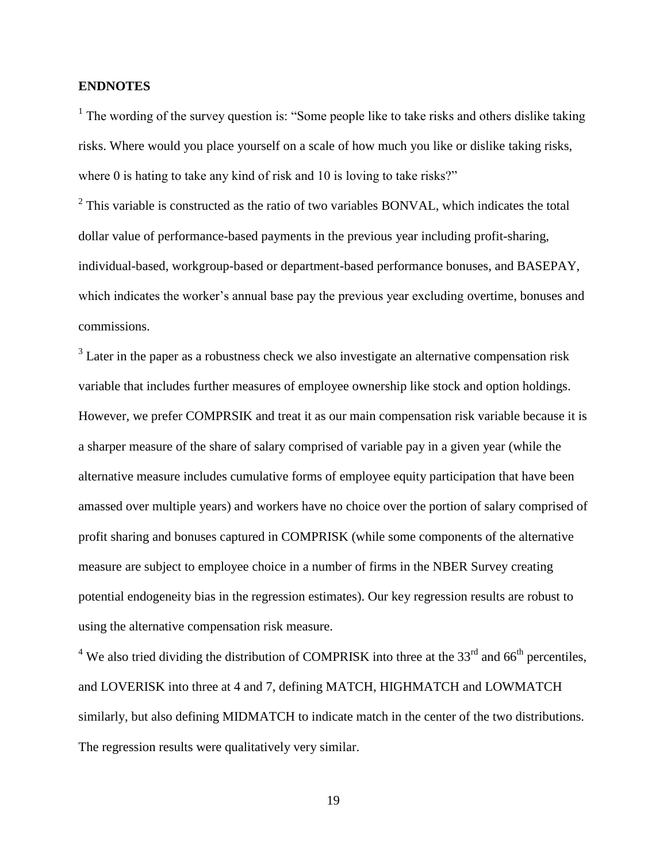#### **ENDNOTES**

<sup>1</sup> The wording of the survey question is: "Some people like to take risks and others dislike taking risks. Where would you place yourself on a scale of how much you like or dislike taking risks, where 0 is hating to take any kind of risk and 10 is loving to take risks?"

 $2$  This variable is constructed as the ratio of two variables BONVAL, which indicates the total dollar value of performance-based payments in the previous year including profit-sharing, individual-based, workgroup-based or department-based performance bonuses, and BASEPAY, which indicates the worker's annual base pay the previous year excluding overtime, bonuses and commissions.

 $3$  Later in the paper as a robustness check we also investigate an alternative compensation risk variable that includes further measures of employee ownership like stock and option holdings. However, we prefer COMPRSIK and treat it as our main compensation risk variable because it is a sharper measure of the share of salary comprised of variable pay in a given year (while the alternative measure includes cumulative forms of employee equity participation that have been amassed over multiple years) and workers have no choice over the portion of salary comprised of profit sharing and bonuses captured in COMPRISK (while some components of the alternative measure are subject to employee choice in a number of firms in the NBER Survey creating potential endogeneity bias in the regression estimates). Our key regression results are robust to using the alternative compensation risk measure.

<sup>4</sup> We also tried dividing the distribution of COMPRISK into three at the  $33<sup>rd</sup>$  and 66<sup>th</sup> percentiles, and LOVERISK into three at 4 and 7, defining MATCH, HIGHMATCH and LOWMATCH similarly, but also defining MIDMATCH to indicate match in the center of the two distributions. The regression results were qualitatively very similar.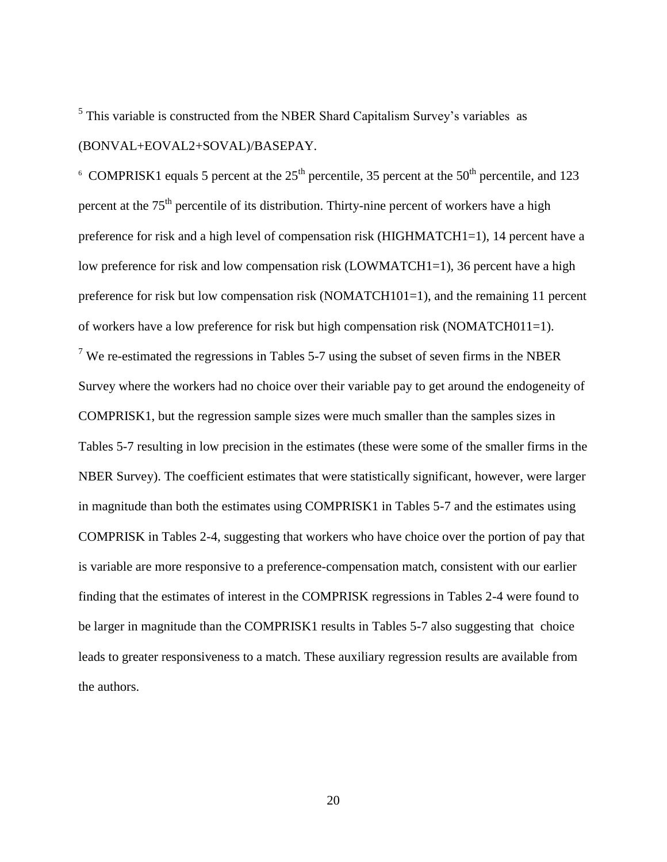$<sup>5</sup>$  This variable is constructed from the NBER Shard Capitalism Survey's variables as</sup> (BONVAL+EOVAL2+SOVAL)/BASEPAY.

<sup>6</sup> COMPRISK1 equals 5 percent at the  $25<sup>th</sup>$  percentile, 35 percent at the  $50<sup>th</sup>$  percentile, and 123 percent at the  $75<sup>th</sup>$  percentile of its distribution. Thirty-nine percent of workers have a high preference for risk and a high level of compensation risk (HIGHMATCH1=1), 14 percent have a low preference for risk and low compensation risk (LOWMATCH1=1), 36 percent have a high preference for risk but low compensation risk (NOMATCH101=1), and the remaining 11 percent of workers have a low preference for risk but high compensation risk (NOMATCH011=1). <sup>7</sup> We re-estimated the regressions in Tables 5-7 using the subset of seven firms in the NBER Survey where the workers had no choice over their variable pay to get around the endogeneity of COMPRISK1, but the regression sample sizes were much smaller than the samples sizes in Tables 5-7 resulting in low precision in the estimates (these were some of the smaller firms in the NBER Survey). The coefficient estimates that were statistically significant, however, were larger in magnitude than both the estimates using COMPRISK1 in Tables 5-7 and the estimates using COMPRISK in Tables 2-4, suggesting that workers who have choice over the portion of pay that is variable are more responsive to a preference-compensation match, consistent with our earlier finding that the estimates of interest in the COMPRISK regressions in Tables 2-4 were found to be larger in magnitude than the COMPRISK1 results in Tables 5-7 also suggesting that choice leads to greater responsiveness to a match. These auxiliary regression results are available from the authors.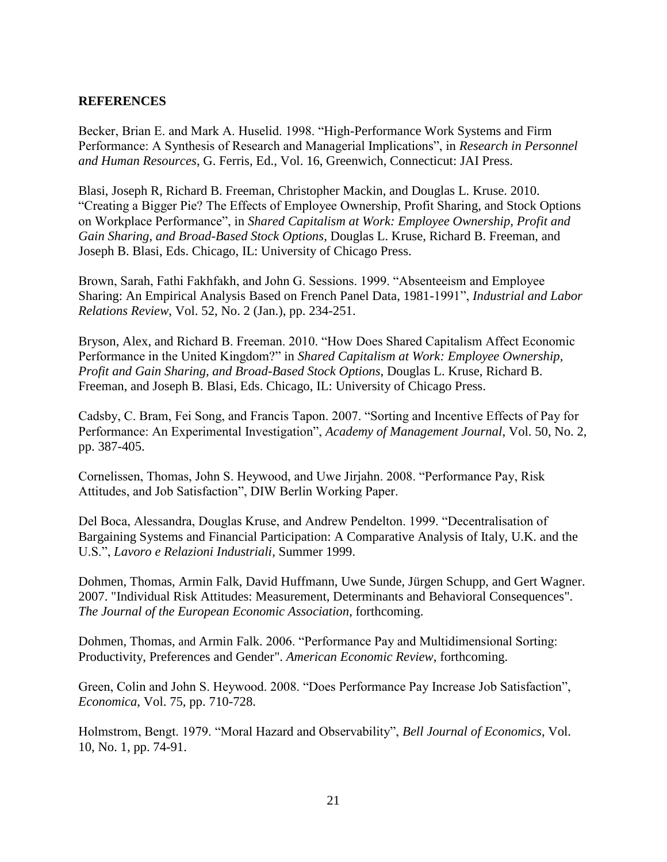#### **REFERENCES**

Becker, Brian E. and Mark A. Huselid. 1998. "High-Performance Work Systems and Firm Performance: A Synthesis of Research and Managerial Implications", in *Research in Personnel and Human Resources*, G. Ferris, Ed., Vol. 16, Greenwich, Connecticut: JAI Press.

Blasi, Joseph R, Richard B. Freeman, Christopher Mackin, and Douglas L. Kruse. 2010. "Creating a Bigger Pie? The Effects of Employee Ownership, Profit Sharing, and Stock Options on Workplace Performance", in *Shared Capitalism at Work: Employee Ownership, Profit and Gain Sharing, and Broad-Based Stock Options*, Douglas L. Kruse, Richard B. Freeman, and Joseph B. Blasi, Eds. Chicago, IL: University of Chicago Press.

Brown, Sarah, Fathi Fakhfakh, and John G. Sessions. 1999. "Absenteeism and Employee Sharing: An Empirical Analysis Based on French Panel Data, 1981-1991", *Industrial and Labor Relations Review*, Vol. 52, No. 2 (Jan.), pp. 234-251.

Bryson, Alex, and Richard B. Freeman. 2010. "How Does Shared Capitalism Affect Economic Performance in the United Kingdom?" in *Shared Capitalism at Work: Employee Ownership, Profit and Gain Sharing, and Broad-Based Stock Options*, Douglas L. Kruse, Richard B. Freeman, and Joseph B. Blasi, Eds. Chicago, IL: University of Chicago Press.

Cadsby, C. Bram, Fei Song, and Francis Tapon. 2007. "Sorting and Incentive Effects of Pay for Performance: An Experimental Investigation", *Academy of Management Journal*, Vol. 50, No. 2, pp. 387-405.

Cornelissen, Thomas, John S. Heywood, and Uwe Jirjahn. 2008. "Performance Pay, Risk Attitudes, and Job Satisfaction", DIW Berlin Working Paper.

Del Boca, Alessandra, Douglas Kruse, and Andrew Pendelton. 1999. "Decentralisation of Bargaining Systems and Financial Participation: A Comparative Analysis of Italy, U.K. and the U.S.", *Lavoro e Relazioni Industriali*, Summer 1999.

Dohmen, Thomas, Armin Falk, David Huffmann, Uwe Sunde, Jürgen Schupp, and Gert Wagner. 2007. ["Individual Risk Attitudes: Measurement, Determinants and Behavioral Consequences"](http://www.swarthmore.edu/Documents/academics/economics/huffman/Individual_risk_attitudes_JEEA.pdf). *The Journal of the European Economic Association*, forthcoming.

Dohmen, Thomas, and Armin Falk. 2006. "Performance Pay and Multidimensional Sorting: Productivity, Preferences and Gender". *American Economic Review*, forthcoming.

Green, Colin and John S. Heywood. 2008. "Does Performance Pay Increase Job Satisfaction", *Economica*, Vol. 75, pp. 710-728.

Holmstrom, Bengt. 1979. "Moral Hazard and Observability", *Bell Journal of Economics*, Vol. 10, No. 1, pp. 74-91.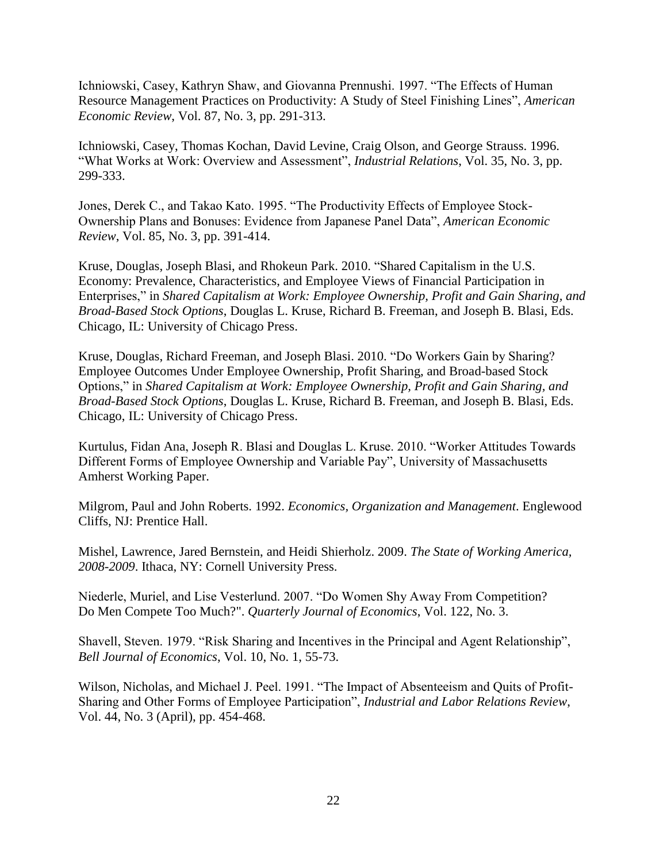Ichniowski, Casey, Kathryn Shaw, and Giovanna Prennushi. 1997. "The Effects of Human Resource Management Practices on Productivity: A Study of Steel Finishing Lines", *American Economic Review*, Vol. 87, No. 3, pp. 291-313.

Ichniowski, Casey, Thomas Kochan, David Levine, Craig Olson, and George Strauss. 1996. "What Works at Work: Overview and Assessment", *Industrial Relations*, Vol. 35, No. 3, pp. 299-333.

Jones, Derek C., and Takao Kato. 1995. "The Productivity Effects of Employee Stock-Ownership Plans and Bonuses: Evidence from Japanese Panel Data", *American Economic Review*, Vol. 85, No. 3, pp. 391-414.

Kruse, Douglas, Joseph Blasi, and Rhokeun Park. 2010. "Shared Capitalism in the U.S. Economy: Prevalence, Characteristics, and Employee Views of Financial Participation in Enterprises," in *Shared Capitalism at Work: Employee Ownership, Profit and Gain Sharing, and Broad-Based Stock Options*, Douglas L. Kruse, Richard B. Freeman, and Joseph B. Blasi, Eds. Chicago, IL: University of Chicago Press.

Kruse, Douglas, Richard Freeman, and Joseph Blasi. 2010. "Do Workers Gain by Sharing? Employee Outcomes Under Employee Ownership, Profit Sharing, and Broad-based Stock Options," in *Shared Capitalism at Work: Employee Ownership, Profit and Gain Sharing, and Broad-Based Stock Options*, Douglas L. Kruse, Richard B. Freeman, and Joseph B. Blasi, Eds. Chicago, IL: University of Chicago Press.

Kurtulus, Fidan Ana, Joseph R. Blasi and Douglas L. Kruse. 2010. "Worker Attitudes Towards Different Forms of Employee Ownership and Variable Pay", University of Massachusetts Amherst Working Paper.

Milgrom, Paul and John Roberts. 1992. *Economics, Organization and Management*. Englewood Cliffs, NJ: Prentice Hall.

Mishel, Lawrence, Jared Bernstein, and Heidi Shierholz. 2009. *The State of Working America, 2008-2009*. Ithaca, NY: Cornell University Press.

Niederle, Muriel, and Lise Vesterlund. 2007. "Do Women Shy Away From Competition? Do Men Compete Too Much?". *Quarterly Journal of Economics*, Vol. 122, No. 3.

Shavell, Steven. 1979. "Risk Sharing and Incentives in the Principal and Agent Relationship", *Bell Journal of Economics*, Vol. 10, No. 1, 55-73.

Wilson, Nicholas, and Michael J. Peel. 1991. "The Impact of Absenteeism and Quits of Profit-Sharing and Other Forms of Employee Participation", *Industrial and Labor Relations Review*, Vol. 44, No. 3 (April), pp. 454-468.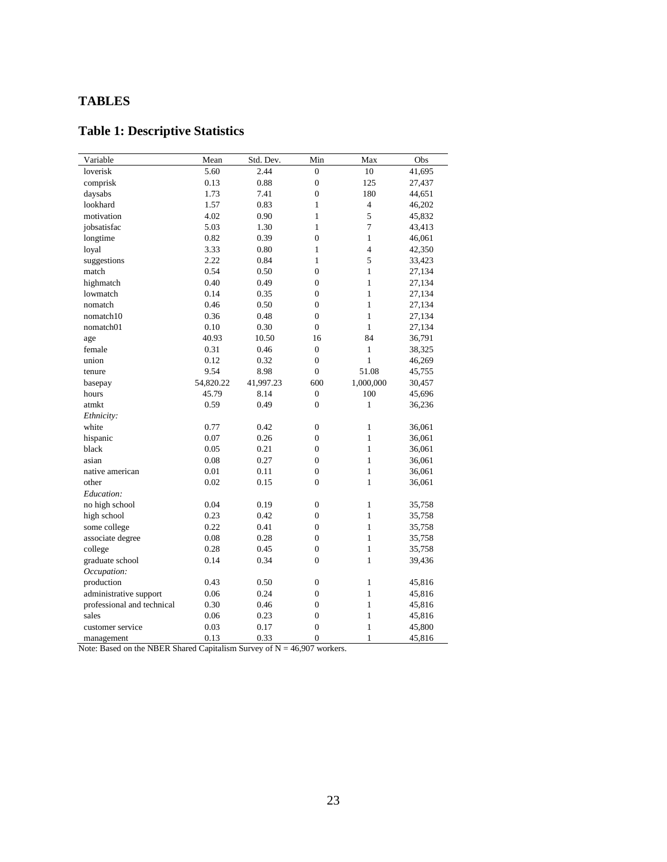#### **TABLES**

### **Table 1: Descriptive Statistics**

| Variable                   | Mean      | Std. Dev. | Min              | Max            | Obs    |
|----------------------------|-----------|-----------|------------------|----------------|--------|
| loverisk                   | 5.60      | 2.44      | $\boldsymbol{0}$ | 10             | 41,695 |
| comprisk                   | 0.13      | 0.88      | $\boldsymbol{0}$ | 125            | 27,437 |
| daysabs                    | 1.73      | 7.41      | $\mathbf{0}$     | 180            | 44,651 |
| lookhard                   | 1.57      | 0.83      | $\mathbf{1}$     | $\overline{4}$ | 46,202 |
| motivation                 | 4.02      | 0.90      | $\mathbf{1}$     | 5              | 45,832 |
| jobsatisfac                | 5.03      | 1.30      | $\mathbf{1}$     | 7              | 43,413 |
| longtime                   | 0.82      | 0.39      | $\mathbf{0}$     | $\mathbf{1}$   | 46,061 |
| loyal                      | 3.33      | 0.80      | $\mathbf{1}$     | $\overline{4}$ | 42,350 |
| suggestions                | 2.22      | 0.84      | $\mathbf{1}$     | 5              | 33,423 |
| match                      | 0.54      | 0.50      | $\overline{0}$   | $\mathbf{1}$   | 27,134 |
| highmatch                  | 0.40      | 0.49      | $\overline{0}$   | $\mathbf{1}$   | 27,134 |
| lowmatch                   | 0.14      | 0.35      | $\boldsymbol{0}$ | $\mathbf{1}$   | 27,134 |
| nomatch                    | 0.46      | 0.50      | $\boldsymbol{0}$ | $\mathbf{1}$   | 27,134 |
| nomatch10                  | 0.36      | 0.48      | $\boldsymbol{0}$ | $\mathbf{1}$   | 27,134 |
| nomatch01                  | 0.10      | 0.30      | $\boldsymbol{0}$ | $\mathbf{1}$   | 27,134 |
| age                        | 40.93     | 10.50     | 16               | 84             | 36,791 |
| female                     | 0.31      | 0.46      | $\boldsymbol{0}$ | $\mathbf{1}$   | 38,325 |
| union                      | 0.12      | 0.32      | $\boldsymbol{0}$ | $\mathbf{1}$   | 46,269 |
| tenure                     | 9.54      | 8.98      | $\mathbf{0}$     | 51.08          | 45,755 |
| basepay                    | 54,820.22 | 41,997.23 | 600              | 1,000,000      | 30,457 |
| hours                      | 45.79     | 8.14      | $\boldsymbol{0}$ | 100            | 45,696 |
| atmkt                      | 0.59      | 0.49      | $\mathbf{0}$     | $\mathbf{1}$   | 36,236 |
| Ethnicity:                 |           |           |                  |                |        |
| white                      | 0.77      | 0.42      | $\overline{0}$   | $\mathbf{1}$   | 36,061 |
| hispanic                   | 0.07      | 0.26      | $\boldsymbol{0}$ | $\mathbf{1}$   | 36,061 |
| black                      | 0.05      | 0.21      | $\boldsymbol{0}$ | $\mathbf{1}$   | 36,061 |
| asian                      | 0.08      | 0.27      | $\boldsymbol{0}$ | $\mathbf{1}$   | 36,061 |
| native american            | 0.01      | 0.11      | $\boldsymbol{0}$ | $\mathbf{1}$   | 36,061 |
| other                      | 0.02      | 0.15      | $\mathbf{0}$     | $\mathbf{1}$   | 36,061 |
| Education:                 |           |           |                  |                |        |
| no high school             | 0.04      | 0.19      | $\boldsymbol{0}$ | $\mathbf{1}$   | 35,758 |
| high school                | 0.23      | 0.42      | $\boldsymbol{0}$ | $\mathbf{1}$   | 35,758 |
| some college               | 0.22      | 0.41      | $\boldsymbol{0}$ | $\mathbf{1}$   | 35,758 |
| associate degree           | 0.08      | 0.28      | $\boldsymbol{0}$ | $\mathbf{1}$   | 35,758 |
| college                    | 0.28      | 0.45      | $\boldsymbol{0}$ | $\mathbf{1}$   | 35,758 |
| graduate school            | 0.14      | 0.34      | $\overline{0}$   | $\mathbf{1}$   | 39,436 |
| Occupation:                |           |           |                  |                |        |
| production                 | 0.43      | 0.50      | $\boldsymbol{0}$ | $\mathbf{1}$   | 45,816 |
| administrative support     | 0.06      | 0.24      | $\boldsymbol{0}$ | $\mathbf{1}$   | 45,816 |
| professional and technical | 0.30      | 0.46      | $\boldsymbol{0}$ | $\mathbf{1}$   | 45,816 |
| sales                      | 0.06      | 0.23      | $\mathbf{0}$     | $\mathbf{1}$   | 45,816 |
| customer service           | 0.03      | 0.17      | $\mathbf{0}$     | $\mathbf{1}$   | 45,800 |
| management                 | 0.13      | 0.33      | $\overline{0}$   | $\mathbf{1}$   | 45,816 |

Note: Based on the NBER Shared Capitalism Survey of  $N = 46,907$  workers.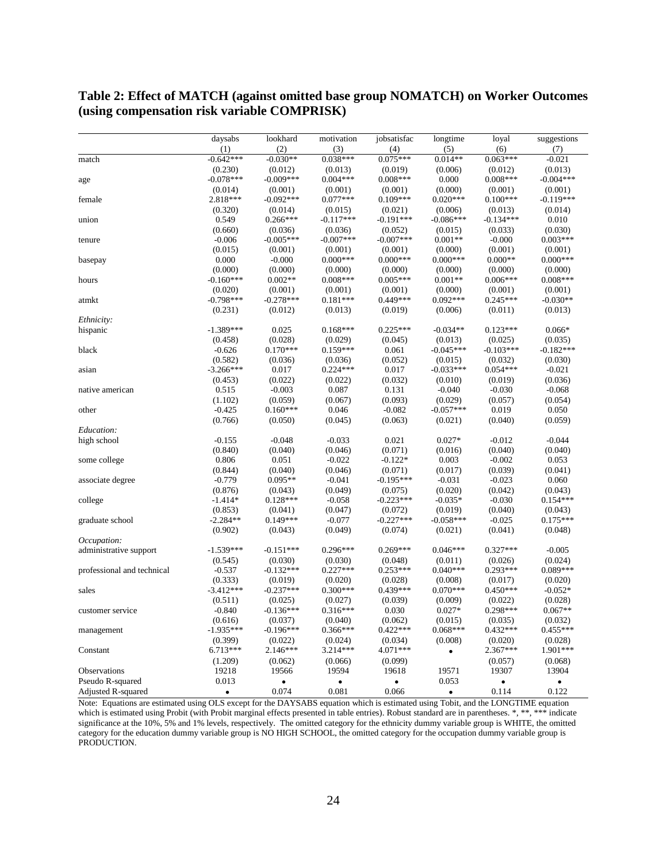#### **Table 2: Effect of MATCH (against omitted base group NOMATCH) on Worker Outcomes (using compensation risk variable COMPRISK)**

|                            | daysabs     | lookhard    | motivation  | jobsatisfac | longtime    | loyal       | suggestions |
|----------------------------|-------------|-------------|-------------|-------------|-------------|-------------|-------------|
|                            | (1)         | (2)         | (3)         | (4)         | (5)         | (6)         | (7)         |
| match                      | $-0.642***$ | $-0.030**$  | $0.038***$  | $0.075***$  | $0.014**$   | $0.063***$  | $-0.021$    |
|                            | (0.230)     | (0.012)     | (0.013)     | (0.019)     | (0.006)     | (0.012)     | (0.013)     |
| age                        | $-0.078***$ | $-0.009***$ | $0.004***$  | $0.008***$  | 0.000       | $0.008***$  | $-0.004***$ |
|                            | (0.014)     | (0.001)     | (0.001)     | (0.001)     | (0.000)     | (0.001)     | (0.001)     |
| female                     | 2.818***    | $-0.092***$ | $0.077***$  | $0.109***$  | $0.020***$  | $0.100***$  | $-0.119***$ |
|                            | (0.320)     | (0.014)     | (0.015)     | (0.021)     | (0.006)     | (0.013)     | (0.014)     |
| union                      | 0.549       | $0.266***$  | $-0.117***$ | $-0.191***$ | $-0.086***$ | $-0.134***$ | 0.010       |
|                            | (0.660)     | (0.036)     | (0.036)     | (0.052)     | (0.015)     | (0.033)     | (0.030)     |
| tenure                     | $-0.006$    | $-0.005***$ | $-0.007***$ | $-0.007***$ | $0.001**$   | $-0.000$    | $0.003***$  |
|                            | (0.015)     | (0.001)     | (0.001)     | (0.001)     | (0.000)     | (0.001)     | (0.001)     |
| basepay                    | 0.000       | $-0.000$    | $0.000***$  | $0.000***$  | $0.000***$  | $0.000**$   | $0.000***$  |
|                            | (0.000)     | (0.000)     | (0.000)     | (0.000)     | (0.000)     | (0.000)     | (0.000)     |
| hours                      | $-0.160***$ | $0.002**$   | $0.008***$  | $0.005***$  | $0.001**$   | $0.006***$  | $0.008***$  |
|                            | (0.020)     | (0.001)     | (0.001)     | (0.001)     | (0.000)     | (0.001)     | (0.001)     |
| atmkt                      | $-0.798***$ | $-0.278***$ | $0.181***$  | 0.449***    | $0.092***$  | $0.245***$  | $-0.030**$  |
|                            | (0.231)     | (0.012)     | (0.013)     | (0.019)     | (0.006)     | (0.011)     | (0.013)     |
|                            |             |             |             |             |             |             |             |
| Ethnicity:                 |             |             |             | $0.225***$  |             |             |             |
| hispanic                   | $-1.389***$ | 0.025       | $0.168***$  |             | $-0.034**$  | $0.123***$  | $0.066*$    |
|                            | (0.458)     | (0.028)     | (0.029)     | (0.045)     | (0.013)     | (0.025)     | (0.035)     |
| black                      | $-0.626$    | $0.170***$  | $0.159***$  | 0.061       | $-0.045***$ | $-0.103***$ | $-0.182***$ |
|                            | (0.582)     | (0.036)     | (0.036)     | (0.052)     | (0.015)     | (0.032)     | (0.030)     |
| asian                      | $-3.266***$ | 0.017       | $0.224***$  | 0.017       | $-0.033***$ | $0.054***$  | $-0.021$    |
|                            | (0.453)     | (0.022)     | (0.022)     | (0.032)     | (0.010)     | (0.019)     | (0.036)     |
| native american            | 0.515       | $-0.003$    | 0.087       | 0.131       | $-0.040$    | $-0.030$    | $-0.068$    |
|                            | (1.102)     | (0.059)     | (0.067)     | (0.093)     | (0.029)     | (0.057)     | (0.054)     |
| other                      | $-0.425$    | $0.160***$  | 0.046       | $-0.082$    | $-0.057***$ | 0.019       | 0.050       |
|                            | (0.766)     | (0.050)     | (0.045)     | (0.063)     | (0.021)     | (0.040)     | (0.059)     |
| Education:                 |             |             |             |             |             |             |             |
| high school                | $-0.155$    | $-0.048$    | $-0.033$    | 0.021       | $0.027*$    | $-0.012$    | $-0.044$    |
|                            | (0.840)     | (0.040)     | (0.046)     | (0.071)     | (0.016)     | (0.040)     | (0.040)     |
| some college               | 0.806       | 0.051       | $-0.022$    | $-0.122*$   | 0.003       | $-0.002$    | 0.053       |
|                            | (0.844)     | (0.040)     | (0.046)     | (0.071)     | (0.017)     | (0.039)     | (0.041)     |
| associate degree           | $-0.779$    | $0.095**$   | $-0.041$    | $-0.195***$ | $-0.031$    | $-0.023$    | 0.060       |
|                            | (0.876)     | (0.043)     | (0.049)     | (0.075)     | (0.020)     | (0.042)     | (0.043)     |
| college                    | $-1.414*$   | $0.128***$  | $-0.058$    | $-0.223***$ | $-0.035*$   | $-0.030$    | $0.154***$  |
|                            | (0.853)     | (0.041)     | (0.047)     | (0.072)     | (0.019)     | (0.040)     | (0.043)     |
| graduate school            | $-2.284**$  | $0.149***$  | $-0.077$    | $-0.227***$ | $-0.058***$ | $-0.025$    | $0.175***$  |
|                            | (0.902)     | (0.043)     | (0.049)     | (0.074)     | (0.021)     | (0.041)     | (0.048)     |
| Occupation:                |             |             |             |             |             |             |             |
| administrative support     | $-1.539***$ | $-0.151***$ | $0.296***$  | $0.269***$  | $0.046***$  | $0.327***$  | $-0.005$    |
|                            | (0.545)     | (0.030)     | (0.030)     | (0.048)     | (0.011)     | (0.026)     | (0.024)     |
| professional and technical | $-0.537$    | $-0.132***$ | $0.227***$  | $0.253***$  | $0.040***$  | $0.293***$  | $0.089***$  |
|                            | (0.333)     | (0.019)     | (0.020)     | (0.028)     | (0.008)     | (0.017)     | (0.020)     |
| sales                      | $-3.412***$ | $-0.237***$ | $0.300***$  | $0.439***$  | $0.070***$  | $0.450***$  | $-0.052*$   |
|                            | (0.511)     | (0.025)     | (0.027)     | (0.039)     | (0.009)     | (0.022)     | (0.028)     |
| customer service           | $-0.840$    | $-0.136***$ | $0.316***$  | 0.030       | $0.027*$    | $0.298***$  | $0.067**$   |
|                            | (0.616)     | (0.037)     | (0.040)     | (0.062)     | (0.015)     | (0.035)     | (0.032)     |
|                            | $-1.935***$ | $-0.196***$ | $0.366***$  | $0.422***$  | $0.068***$  | $0.432***$  | $0.455***$  |
| management                 | (0.399)     | (0.022)     | (0.024)     | (0.034)     | (0.008)     | (0.020)     | (0.028)     |
|                            | $6.713***$  | $2.146***$  | 3.214***    | 4.071***    |             | 2.367***    | 1.901***    |
| Constant                   |             |             |             |             | $\bullet$   |             |             |
|                            | (1.209)     | (0.062)     | (0.066)     | (0.099)     |             | (0.057)     | (0.068)     |
| Observations               | 19218       | 19566       | 19594       | 19618       | 19571       | 19307       | 13904       |
| Pseudo R-squared           | 0.013       | ٠           | ٠           | $\bullet$   | 0.053       | $\bullet$   | $\bullet$   |
| Adjusted R-squared         | $\bullet$   | 0.074       | 0.081       | 0.066       | $\bullet$   | 0.114       | 0.122       |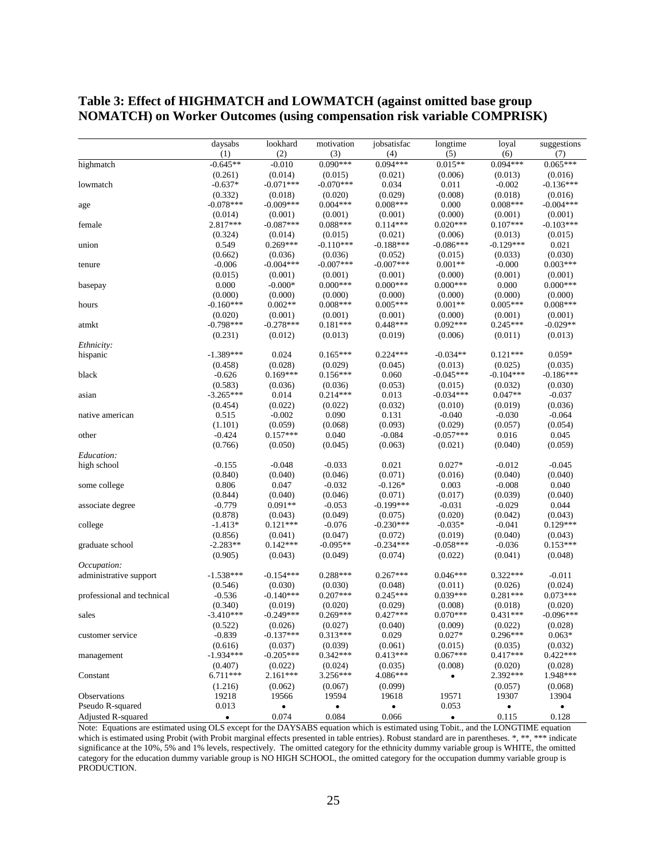|                            | daysabs                | lookhard              | motivation            | jobsatisfac         | longtime               | loyal               | suggestions         |
|----------------------------|------------------------|-----------------------|-----------------------|---------------------|------------------------|---------------------|---------------------|
|                            | (1)                    | (2)                   | (3)                   | (4)                 | (5)                    | (6)                 | (7)                 |
| highmatch                  | $-0.645**$             | $-0.010$              | $0.090***$            | $0.094***$          | $0.015**$              | $0.094***$          | $0.065***$          |
|                            | (0.261)                | (0.014)               | (0.015)               | (0.021)             | (0.006)                | (0.013)             | (0.016)             |
| lowmatch                   | $-0.637*$              | $-0.071***$           | $-0.070***$           | 0.034               | 0.011                  | $-0.002$            | $-0.136***$         |
|                            | (0.332)                | (0.018)               | (0.020)               | (0.029)             | (0.008)                | (0.018)             | (0.016)             |
| age                        | $-0.078***$            | $-0.009***$           | $0.004***$            | $0.008***$          | 0.000                  | $0.008***$          | $-0.004***$         |
|                            | (0.014)                | (0.001)               | (0.001)               | (0.001)             | (0.000)                | (0.001)             | (0.001)             |
| female                     | 2.817***               | $-0.087***$           | $0.088***$            | $0.114***$          | $0.020***$             | $0.107***$          | $-0.103***$         |
|                            | (0.324)                | (0.014)               | (0.015)               | (0.021)             | (0.006)                | (0.013)             | (0.015)             |
| union                      | 0.549                  | $0.269***$            | $-0.110***$           | $-0.188***$         | $-0.086***$            | $-0.129***$         | 0.021               |
|                            | (0.662)                | (0.036)               | (0.036)               | (0.052)             | (0.015)                | (0.033)             | (0.030)             |
| tenure                     | $-0.006$               | $-0.004***$           | $-0.007***$           | $-0.007***$         | $0.001**$              | $-0.000$            | $0.003***$          |
|                            | (0.015)                | (0.001)               | (0.001)               | (0.001)             | (0.000)                | (0.001)             | (0.001)             |
| basepay                    | 0.000                  | $-0.000*$             | $0.000***$            | $0.000***$          | $0.000***$             | 0.000               | $0.000***$          |
|                            | (0.000)                | (0.000)               | (0.000)               | (0.000)             | (0.000)                | (0.000)             | (0.000)             |
| hours                      | $-0.160***$            | $0.002**$             | $0.008***$            | $0.005***$          | $0.001**$              | $0.005***$          | $0.008***$          |
|                            | (0.020)                | (0.001)               | (0.001)               | (0.001)             | (0.000)                | (0.001)             | (0.001)             |
| atmkt                      | $-0.798***$            | $-0.278***$           | $0.181***$            | $0.448***$          | $0.092***$             | $0.245***$          | $-0.029**$          |
|                            | (0.231)                | (0.012)               | (0.013)               | (0.019)             | (0.006)                | (0.011)             | (0.013)             |
| Ethnicity:                 |                        |                       |                       |                     |                        |                     |                     |
| hispanic                   | $-1.389***$            | 0.024                 | $0.165***$            | $0.224***$          | $-0.034**$             | $0.121***$          | $0.059*$            |
|                            | (0.458)                | (0.028)               | (0.029)               | (0.045)             | (0.013)                | (0.025)             | (0.035)             |
| black                      | $-0.626$               | $0.169***$            | $0.156***$            | 0.060               | $-0.045***$            | $-0.104***$         | $-0.186***$         |
|                            | (0.583)<br>$-3.265***$ | (0.036)               | (0.036)<br>$0.214***$ | (0.053)             | (0.015)                | (0.032)             | (0.030)             |
| asian                      |                        | 0.014                 |                       | 0.013               | -0.034***              | $0.047**$           | $-0.037$            |
|                            | (0.454)<br>0.515       | (0.022)<br>$-0.002$   | (0.022)<br>0.090      | (0.032)<br>0.131    | (0.010)<br>$-0.040$    | (0.019)<br>$-0.030$ | (0.036)<br>$-0.064$ |
| native american            |                        |                       |                       |                     |                        |                     |                     |
| other                      | (1.101)<br>$-0.424$    | (0.059)<br>$0.157***$ | (0.068)<br>0.040      | (0.093)<br>$-0.084$ | (0.029)<br>$-0.057***$ | (0.057)<br>0.016    | (0.054)<br>0.045    |
|                            | (0.766)                | (0.050)               | (0.045)               | (0.063)             |                        | (0.040)             | (0.059)             |
| Education:                 |                        |                       |                       |                     | (0.021)                |                     |                     |
| high school                | $-0.155$               | $-0.048$              | $-0.033$              | 0.021               | $0.027*$               | $-0.012$            | $-0.045$            |
|                            | (0.840)                | (0.040)               | (0.046)               | (0.071)             | (0.016)                | (0.040)             | (0.040)             |
| some college               | 0.806                  | 0.047                 | $-0.032$              | $-0.126*$           | 0.003                  | $-0.008$            | 0.040               |
|                            | (0.844)                | (0.040)               | (0.046)               | (0.071)             | (0.017)                | (0.039)             | (0.040)             |
| associate degree           | $-0.779$               | $0.091**$             | $-0.053$              | $-0.199***$         | $-0.031$               | $-0.029$            | 0.044               |
|                            | (0.878)                | (0.043)               | (0.049)               | (0.075)             | (0.020)                | (0.042)             | (0.043)             |
| college                    | $-1.413*$              | $0.121***$            | $-0.076$              | $-0.230***$         | $-0.035*$              | $-0.041$            | $0.129***$          |
|                            | (0.856)                | (0.041)               | (0.047)               | (0.072)             | (0.019)                | (0.040)             | (0.043)             |
| graduate school            | $-2.283**$             | $0.142***$            | $-0.095**$            | $-0.234***$         | $-0.058***$            | $-0.036$            | $0.153***$          |
|                            | (0.905)                | (0.043)               | (0.049)               | (0.074)             | (0.022)                | (0.041)             | (0.048)             |
| <i>Occupation:</i>         |                        |                       |                       |                     |                        |                     |                     |
| administrative support     | $-1.538***$            | $-0.154***$           | $0.288***$            | $0.267***$          | $0.046***$             | $0.322***$          | $-0.011$            |
|                            | (0.546)                | (0.030)               | (0.030)               | (0.048)             | (0.011)                | (0.026)             | (0.024)             |
| professional and technical | $-0.536$               | $-0.140***$           | $0.207***$            | $0.245***$          | $0.039***$             | $0.281***$          | $0.073***$          |
|                            | (0.340)                | (0.019)               | (0.020)               | (0.029)             | (0.008)                | (0.018)             | (0.020)             |
| sales                      | $-3.410***$            | $-0.249***$           | $0.269***$            | $0.427***$          | $0.070***$             | $0.431***$          | $-0.096***$         |
|                            | (0.522)                | (0.026)               | (0.027)               | (0.040)             | (0.009)                | (0.022)             | (0.028)             |
| customer service           | $-0.839$               | $-0.137***$           | $0.313***$            | 0.029               | $0.027*$               | $0.296***$          | $0.063*$            |
|                            | (0.616)                | (0.037)               | (0.039)               | (0.061)             | (0.015)                | (0.035)             | (0.032)             |
| management                 | $-1.934***$            | $-0.205***$           | $0.342***$            | $0.413***$          | $0.067***$             | $0.417***$          | $0.422***$          |
|                            | (0.407)                | (0.022)               | (0.024)               | (0.035)             | (0.008)                | (0.020)             | (0.028)             |
| Constant                   | $6.711***$             | $2.161***$            | 3.256***              | 4.086***            | $\bullet$              | 2.392***            | 1.948***            |
|                            | (1.216)                | (0.062)               | (0.067)               | (0.099)             |                        | (0.057)             | (0.068)             |
| Observations               | 19218                  | 19566                 | 19594                 | 19618               | 19571                  | 19307               | 13904               |
| Pseudo R-squared           | 0.013                  | $\bullet$             | $\bullet$             | $\bullet$           | 0.053                  | $\bullet$           | $\bullet$           |
| Adjusted R-squared         | $\bullet$              | 0.074                 | 0.084                 | 0.066               | $\bullet$              | 0.115               | 0.128               |

#### **Table 3: Effect of HIGHMATCH and LOWMATCH (against omitted base group NOMATCH) on Worker Outcomes (using compensation risk variable COMPRISK)**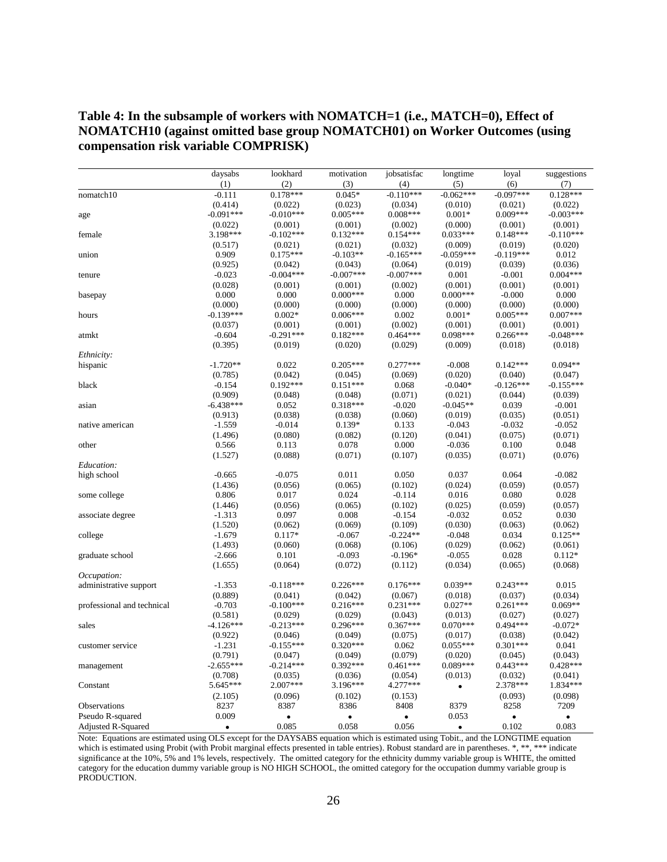#### **Table 4: In the subsample of workers with NOMATCH=1 (i.e., MATCH=0), Effect of NOMATCH10 (against omitted base group NOMATCH01) on Worker Outcomes (using compensation risk variable COMPRISK)**

|                            | daysabs     | lookhard    | motivation            | jobsatisfac | longtime    | loyal                 | suggestions |
|----------------------------|-------------|-------------|-----------------------|-------------|-------------|-----------------------|-------------|
|                            | (1)         | (2)         | (3)                   | (4)         | (5)         | (6)                   | (7)         |
| nomatch10                  | $-0.111$    | $0.178***$  | $0.045*$              | $-0.110***$ | $-0.062***$ | $-0.097***$           | $0.128***$  |
|                            | (0.414)     | (0.022)     | (0.023)               | (0.034)     | (0.010)     | (0.021)               | (0.022)     |
| age                        | $-0.091***$ | $-0.010***$ | $0.005***$            | $0.008***$  | $0.001*$    | $0.009***$            | $-0.003***$ |
|                            | (0.022)     | (0.001)     | (0.001)               | (0.002)     | (0.000)     | (0.001)               | (0.001)     |
| female                     | 3.198***    | $-0.102***$ | $0.132***$            | $0.154***$  | $0.033***$  | $0.148***$            | $-0.110***$ |
|                            | (0.517)     | (0.021)     | (0.021)               | (0.032)     | (0.009)     | (0.019)               | (0.020)     |
| union                      | 0.909       | $0.175***$  | $-0.103**$            | $-0.165***$ | $-0.059***$ | $-0.119***$           | 0.012       |
|                            | (0.925)     | (0.042)     | (0.043)               | (0.064)     | (0.019)     | (0.039)               | (0.036)     |
| tenure                     | $-0.023$    | $-0.004***$ | $-0.007***$           | $-0.007***$ | 0.001       | $-0.001$              | $0.004***$  |
|                            | (0.028)     | (0.001)     | (0.001)               | (0.002)     | (0.001)     | (0.001)               | (0.001)     |
| basepay                    | 0.000       | 0.000       | $0.000***$            | 0.000       | $0.000***$  | $-0.000$              | 0.000       |
|                            | (0.000)     | (0.000)     | (0.000)               | (0.000)     | (0.000)     | (0.000)               | (0.000)     |
| hours                      | $-0.139***$ | $0.002*$    | $0.006***$            | 0.002       | $0.001*$    | $0.005***$            | $0.007***$  |
|                            | (0.037)     | (0.001)     | (0.001)               | (0.002)     | (0.001)     | (0.001)               | (0.001)     |
| atmkt                      | $-0.604$    | $-0.291***$ | $0.182***$            | $0.464***$  | $0.098***$  | $0.266***$            | $-0.048***$ |
|                            | (0.395)     | (0.019)     | (0.020)               | (0.029)     | (0.009)     | (0.018)               | (0.018)     |
| Ethnicity:                 |             |             |                       |             |             |                       |             |
| hispanic                   | $-1.720**$  | 0.022       | $0.205***$            | $0.277***$  | $-0.008$    | $0.142***$            | $0.094**$   |
|                            | (0.785)     | (0.042)     | (0.045)               | (0.069)     | (0.020)     | (0.040)               | (0.047)     |
| black                      | $-0.154$    | $0.192***$  | $0.151***$            | 0.068       | $-0.040*$   | $-0.126***$           | $-0.155***$ |
|                            | (0.909)     | (0.048)     | (0.048)               | (0.071)     | (0.021)     | (0.044)               | (0.039)     |
| asian                      | $-6.438***$ | 0.052       | $0.318***$            | $-0.020$    | $-0.045**$  | 0.039                 | $-0.001$    |
|                            | (0.913)     | (0.038)     | (0.038)               | (0.060)     | (0.019)     | (0.035)               | (0.051)     |
| native american            | $-1.559$    | $-0.014$    | $0.139*$              | 0.133       | $-0.043$    | $-0.032$              | $-0.052$    |
|                            | (1.496)     | (0.080)     | (0.082)               | (0.120)     | (0.041)     | (0.075)               | (0.071)     |
| other                      | 0.566       | 0.113       | 0.078                 | 0.000       | $-0.036$    | 0.100                 | 0.048       |
|                            | (1.527)     | (0.088)     | (0.071)               | (0.107)     | (0.035)     | (0.071)               | (0.076)     |
| Education:                 |             |             |                       |             |             |                       |             |
| high school                | $-0.665$    | $-0.075$    | 0.011                 | 0.050       | 0.037       | 0.064                 | $-0.082$    |
|                            | (1.436)     | (0.056)     | (0.065)               | (0.102)     | (0.024)     | (0.059)               | (0.057)     |
| some college               | 0.806       | 0.017       | 0.024                 | $-0.114$    | 0.016       | 0.080                 | 0.028       |
|                            | (1.446)     | (0.056)     | (0.065)               | (0.102)     | (0.025)     | (0.059)               | (0.057)     |
| associate degree           | $-1.313$    | 0.097       | 0.008                 | $-0.154$    | $-0.032$    | 0.052                 | 0.030       |
|                            | (1.520)     | (0.062)     | (0.069)               | (0.109)     | (0.030)     | (0.063)               | (0.062)     |
| college                    | $-1.679$    | $0.117*$    | $-0.067$              | $-0.224**$  | $-0.048$    | 0.034                 | $0.125**$   |
|                            | (1.493)     | (0.060)     | (0.068)               | (0.106)     | (0.029)     | (0.062)               | (0.061)     |
| graduate school            | $-2.666$    | 0.101       | $-0.093$              | $-0.196*$   | $-0.055$    | 0.028                 | $0.112*$    |
|                            | (1.655)     | (0.064)     | (0.072)               | (0.112)     | (0.034)     | (0.065)               | (0.068)     |
| Occupation:                | $-1.353$    | $-0.118***$ | $0.226***$            | $0.176***$  | $0.039**$   | $0.243***$            | 0.015       |
| administrative support     | (0.889)     | (0.041)     |                       | (0.067)     | (0.018)     |                       | (0.034)     |
| professional and technical | $-0.703$    | $-0.100***$ | (0.042)<br>$0.216***$ | $0.231***$  | $0.027**$   | (0.037)<br>$0.261***$ | $0.069**$   |
|                            | (0.581)     | (0.029)     | (0.029)               | (0.043)     | (0.013)     | (0.027)               | (0.027)     |
| sales                      | $-4.126***$ | $-0.213***$ | $0.296***$            | $0.367***$  | $0.070***$  | $0.494***$            | $-0.072*$   |
|                            | (0.922)     | (0.046)     | (0.049)               | (0.075)     | (0.017)     | (0.038)               | (0.042)     |
| customer service           | $-1.231$    | $-0.155***$ | $0.320***$            | 0.062       | $0.055***$  | $0.301***$            | 0.041       |
|                            | (0.791)     | (0.047)     | (0.049)               | (0.079)     | (0.020)     | (0.045)               | (0.043)     |
| management                 | $-2.655***$ | $-0.214***$ | $0.392***$            | $0.461***$  | $0.089***$  | $0.443***$            | $0.428***$  |
|                            | (0.708)     | (0.035)     | (0.036)               | (0.054)     | (0.013)     | (0.032)               | (0.041)     |
| Constant                   | 5.645***    | $2.007***$  | 3.196***              | 4.277***    | $\bullet$   | 2.378***              | 1.834***    |
|                            | (2.105)     | (0.096)     | (0.102)               | (0.153)     |             | (0.093)               | (0.098)     |
| Observations               | 8237        | 8387        | 8386                  | 8408        | 8379        | 8258                  | 7209        |
| Pseudo R-squared           | 0.009       | $\bullet$   | $\bullet$             | $\bullet$   | 0.053       | $\bullet$             | $\bullet$   |
| Adjusted R-Squared         | $\bullet$   | 0.085       | 0.058                 | 0.056       | $\bullet$   | 0.102                 | 0.083       |
|                            |             |             |                       |             |             |                       |             |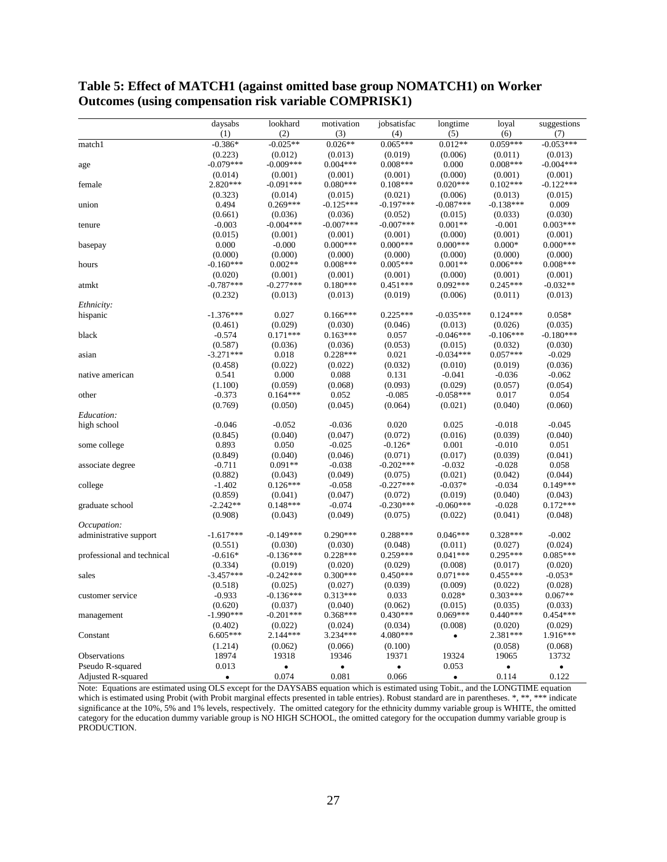|                                              | daysabs               | lookhard              | motivation            | jobsatisfac            | longtime               | loyal               | suggestions           |
|----------------------------------------------|-----------------------|-----------------------|-----------------------|------------------------|------------------------|---------------------|-----------------------|
|                                              | (1)                   | (2)                   | (3)                   | (4)                    | (5)                    | (6)                 | (7)                   |
| match1                                       | $-0.386*$             | $-0.025**$            | $0.026**$             | $0.065***$             | $0.012**$              | $0.059***$          | $-0.053***$           |
|                                              | (0.223)               | (0.012)               | (0.013)               | (0.019)                | (0.006)                | (0.011)             | (0.013)               |
| age                                          | $-0.079***$           | $-0.009***$           | $0.004***$            | $0.008***$             | 0.000                  | $0.008***$          | $-0.004***$           |
|                                              | (0.014)               | (0.001)               | (0.001)               | (0.001)                | (0.000)                | (0.001)             | (0.001)               |
| female                                       | 2.820***              | $-0.091***$           | $0.080***$            | $0.108***$             | $0.020***$             | $0.102***$          | $-0.122***$           |
|                                              | (0.323)               | (0.014)               | (0.015)               | (0.021)                | (0.006)                | (0.013)             | (0.015)               |
| union                                        | 0.494                 | $0.269***$            | $-0.125***$           | $-0.197***$            | $-0.087***$            | $-0.138***$         | 0.009                 |
|                                              | (0.661)               | (0.036)               | (0.036)               | (0.052)                | (0.015)                | (0.033)             | (0.030)               |
| tenure                                       | $-0.003$              | $-0.004***$           | $-0.007***$           | $-0.007***$            | $0.001**$              | $-0.001$            | $0.003***$            |
|                                              | (0.015)<br>0.000      | (0.001)<br>$-0.000$   | (0.001)<br>$0.000***$ | (0.001)<br>$0.000***$  | (0.000)<br>$0.000***$  | (0.001)<br>$0.000*$ | (0.001)<br>$0.000***$ |
| basepay                                      | (0.000)               | (0.000)               | (0.000)               | (0.000)                | (0.000)                | (0.000)             | (0.000)               |
| hours                                        | $-0.160***$           | $0.002**$             | $0.008***$            | $0.005***$             | $0.001**$              | $0.006***$          | $0.008***$            |
|                                              | (0.020)               | (0.001)               | (0.001)               | (0.001)                | (0.000)                | (0.001)             | (0.001)               |
| atmkt                                        | $-0.787***$           | $-0.277***$           | $0.180***$            | $0.451***$             | $0.092***$             | $0.245***$          | $-0.032**$            |
|                                              | (0.232)               | (0.013)               | (0.013)               | (0.019)                | (0.006)                | (0.011)             | (0.013)               |
| <i>Ethnicity:</i>                            |                       |                       |                       |                        |                        |                     |                       |
| hispanic                                     | $-1.376***$           | 0.027                 | $0.166***$            | $0.225***$             | $-0.035***$            | $0.124***$          | $0.058*$              |
|                                              | (0.461)               | (0.029)               | (0.030)               | (0.046)                | (0.013)                | (0.026)             | (0.035)               |
| black                                        | $-0.574$              | $0.171***$            | $0.163***$            | 0.057                  | $-0.046***$            | $-0.106***$         | $-0.180***$           |
|                                              | (0.587)               | (0.036)               | (0.036)               | (0.053)                | (0.015)                | (0.032)             | (0.030)               |
| asian                                        | $-3.271***$           | 0.018                 | $0.228***$            | 0.021                  | $-0.034***$            | $0.057***$          | $-0.029$              |
|                                              | (0.458)               | (0.022)               | (0.022)               | (0.032)                | (0.010)                | (0.019)             | (0.036)               |
| native american                              | 0.541                 | 0.000                 | 0.088                 | 0.131                  | $-0.041$               | $-0.036$            | $-0.062$              |
|                                              | (1.100)               | (0.059)               | (0.068)               | (0.093)                | (0.029)                | (0.057)             | (0.054)               |
| other                                        | $-0.373$              | $0.164***$            | 0.052                 | $-0.085$               | $-0.058***$            | 0.017               | 0.054                 |
|                                              | (0.769)               | (0.050)               | (0.045)               | (0.064)                | (0.021)                | (0.040)             | (0.060)               |
| Education:                                   |                       |                       |                       |                        |                        |                     |                       |
| high school                                  | $-0.046$              | $-0.052$              | $-0.036$              | 0.020                  | 0.025                  | $-0.018$            | $-0.045$              |
|                                              | (0.845)               | (0.040)               | (0.047)               | (0.072)                | (0.016)                | (0.039)             | (0.040)               |
| some college                                 | 0.893                 | 0.050                 | $-0.025$              | $-0.126*$              | 0.001                  | $-0.010$            | 0.051                 |
|                                              | (0.849)               | (0.040)               | (0.046)               | (0.071)                | (0.017)                | (0.039)             | (0.041)               |
| associate degree                             | $-0.711$              | $0.091**$             | $-0.038$              | $-0.202***$            | $-0.032$               | $-0.028$            | 0.058                 |
|                                              | (0.882)               | (0.043)               | (0.049)               | (0.075)                | (0.021)                | (0.042)             | (0.044)               |
| college                                      | $-1.402$              | $0.126***$            | $-0.058$              | $-0.227***$            | $-0.037*$              | $-0.034$            | $0.149***$            |
|                                              | (0.859)<br>$-2.242**$ | (0.041)<br>$0.148***$ | (0.047)<br>$-0.074$   | (0.072)<br>$-0.230***$ | (0.019)<br>$-0.060***$ | (0.040)<br>$-0.028$ | (0.043)<br>$0.172***$ |
| graduate school                              | (0.908)               | (0.043)               | (0.049)               | (0.075)                | (0.022)                |                     | (0.048)               |
|                                              |                       |                       |                       |                        |                        | (0.041)             |                       |
| <i>Occupation:</i><br>administrative support | $-1.617***$           | $-0.149***$           | $0.290***$            | $0.288***$             | $0.046***$             | $0.328***$          | $-0.002$              |
|                                              | (0.551)               | (0.030)               | (0.030)               | (0.048)                | (0.011)                | (0.027)             | (0.024)               |
| professional and technical                   | $-0.616*$             | $-0.136***$           | $0.228***$            | $0.259***$             | $0.041***$             | $0.295***$          | $0.085***$            |
|                                              | (0.334)               | (0.019)               | (0.020)               | (0.029)                | (0.008)                | (0.017)             | (0.020)               |
| sales                                        | $-3.457***$           | $-0.242***$           | $0.300***$            | $0.450***$             | $0.071***$             | $0.455***$          | $-0.053*$             |
|                                              | (0.518)               | (0.025)               | (0.027)               | (0.039)                | (0.009)                | (0.022)             | (0.028)               |
| customer service                             | $-0.933$              | $-0.136***$           | $0.313***$            | 0.033                  | $0.028*$               | $0.303***$          | $0.067**$             |
|                                              | (0.620)               | (0.037)               | (0.040)               | (0.062)                | (0.015)                | (0.035)             | (0.033)               |
| management                                   | $-1.990***$           | $-0.201***$           | $0.368***$            | $0.430***$             | $0.069***$             | $0.440***$          | $0.454***$            |
|                                              | (0.402)               | (0.022)               | (0.024)               | (0.034)                | (0.008)                | (0.020)             | (0.029)               |
| Constant                                     | $6.605***$            | 2.144***              | 3.234***              | 4.080***               | $\bullet$              | 2.381***            | 1.916***              |
|                                              | (1.214)               | (0.062)               | (0.066)               | (0.100)                |                        | (0.058)             | (0.068)               |
| Observations                                 | 18974                 | 19318                 | 19346                 | 19371                  | 19324                  | 19065               | 13732                 |
| Pseudo R-squared                             | 0.013                 |                       | $\bullet$             | $\bullet$              | 0.053                  | $\bullet$           |                       |
| Adjusted R-squared                           | $\bullet$             | 0.074                 | 0.081                 | 0.066                  | $\bullet$              | 0.114               | 0.122                 |

**Table 5: Effect of MATCH1 (against omitted base group NOMATCH1) on Worker Outcomes (using compensation risk variable COMPRISK1)**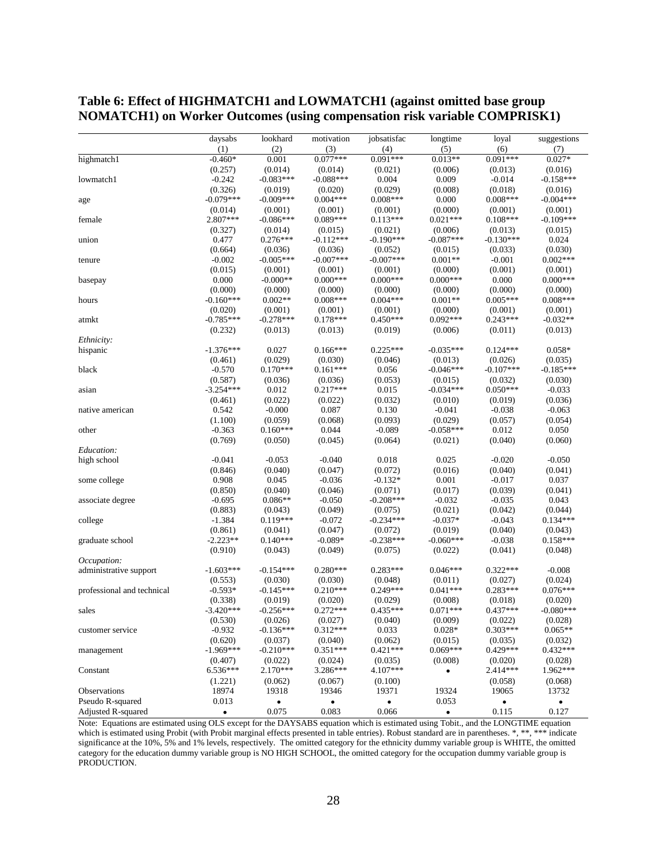|                            | daysabs     | lookhard    | motivation  | jobsatisfac | longtime    | loyal       | suggestions |
|----------------------------|-------------|-------------|-------------|-------------|-------------|-------------|-------------|
|                            | (1)         | (2)         | (3)         | (4)         | (5)         | (6)         | (7)         |
| highmatch1                 | $-0.460*$   | 0.001       | $0.077***$  | $0.091***$  | $0.013**$   | $0.091***$  | $0.027*$    |
|                            | (0.257)     | (0.014)     | (0.014)     | (0.021)     | (0.006)     | (0.013)     | (0.016)     |
| lowmatch1                  | $-0.242$    | $-0.083***$ | $-0.088***$ | 0.004       | 0.009       | $-0.014$    | $-0.158***$ |
|                            | (0.326)     | (0.019)     | (0.020)     | (0.029)     | (0.008)     | (0.018)     | (0.016)     |
| age                        | $-0.079***$ | $-0.009***$ | $0.004***$  | $0.008***$  | 0.000       | $0.008***$  | $-0.004***$ |
|                            | (0.014)     | (0.001)     | (0.001)     | (0.001)     | (0.000)     | (0.001)     | (0.001)     |
| female                     | 2.807***    | $-0.086***$ | $0.089***$  | $0.113***$  | $0.021***$  | $0.108***$  | $-0.109***$ |
|                            | (0.327)     | (0.014)     | (0.015)     | (0.021)     | (0.006)     | (0.013)     | (0.015)     |
| union                      | 0.477       | $0.276***$  | $-0.112***$ | $-0.190***$ | $-0.087***$ | $-0.130***$ | 0.024       |
|                            | (0.664)     | (0.036)     | (0.036)     | (0.052)     | (0.015)     | (0.033)     | (0.030)     |
| tenure                     | $-0.002$    | $-0.005***$ | $-0.007***$ | $-0.007***$ | $0.001**$   | $-0.001$    | $0.002***$  |
|                            | (0.015)     | (0.001)     | (0.001)     | (0.001)     | (0.000)     | (0.001)     | (0.001)     |
| basepay                    | 0.000       | $-0.000**$  | $0.000***$  | $0.000***$  | $0.000***$  | 0.000       | $0.000***$  |
|                            | (0.000)     | (0.000)     | (0.000)     | (0.000)     | (0.000)     | (0.000)     | (0.000)     |
| hours                      | $-0.160***$ | $0.002**$   | $0.008***$  | $0.004***$  | $0.001**$   | $0.005***$  | $0.008***$  |
|                            | (0.020)     | (0.001)     | (0.001)     | (0.001)     | (0.000)     | (0.001)     | (0.001)     |
|                            | $-0.785***$ | $-0.278***$ | $0.178***$  | $0.450***$  | $0.092***$  | $0.243***$  | $-0.032**$  |
| atmkt                      | (0.232)     |             |             | (0.019)     | (0.006)     | (0.011)     |             |
|                            |             | (0.013)     | (0.013)     |             |             |             | (0.013)     |
| Ethnicity:                 |             |             |             |             |             |             |             |
| hispanic                   | $-1.376***$ | 0.027       | $0.166***$  | $0.225***$  | $-0.035***$ | $0.124***$  | $0.058*$    |
|                            | (0.461)     | (0.029)     | (0.030)     | (0.046)     | (0.013)     | (0.026)     | (0.035)     |
| black                      | $-0.570$    | $0.170***$  | $0.161***$  | 0.056       | $-0.046***$ | $-0.107***$ | $-0.185***$ |
|                            | (0.587)     | (0.036)     | (0.036)     | (0.053)     | (0.015)     | (0.032)     | (0.030)     |
| asian                      | $-3.254***$ | 0.012       | $0.217***$  | 0.015       | $-0.034***$ | $0.050***$  | $-0.033$    |
|                            | (0.461)     | (0.022)     | (0.022)     | (0.032)     | (0.010)     | (0.019)     | (0.036)     |
| native american            | 0.542       | $-0.000$    | 0.087       | 0.130       | $-0.041$    | $-0.038$    | $-0.063$    |
|                            | (1.100)     | (0.059)     | (0.068)     | (0.093)     | (0.029)     | (0.057)     | (0.054)     |
| other                      | $-0.363$    | $0.160***$  | 0.044       | $-0.089$    | $-0.058***$ | 0.012       | 0.050       |
|                            | (0.769)     | (0.050)     | (0.045)     | (0.064)     | (0.021)     | (0.040)     | (0.060)     |
| Education:                 |             |             |             |             |             |             |             |
| high school                | $-0.041$    | $-0.053$    | $-0.040$    | 0.018       | 0.025       | $-0.020$    | $-0.050$    |
|                            | (0.846)     | (0.040)     | (0.047)     | (0.072)     | (0.016)     | (0.040)     | (0.041)     |
| some college               | 0.908       | 0.045       | $-0.036$    | $-0.132*$   | 0.001       | $-0.017$    | 0.037       |
|                            | (0.850)     | (0.040)     | (0.046)     | (0.071)     | (0.017)     | (0.039)     | (0.041)     |
| associate degree           | $-0.695$    | $0.086**$   | $-0.050$    | $-0.208***$ | $-0.032$    | $-0.035$    | 0.043       |
|                            | (0.883)     | (0.043)     | (0.049)     | (0.075)     | (0.021)     | (0.042)     | (0.044)     |
| college                    | $-1.384$    | $0.119***$  | $-0.072$    | $-0.234***$ | $-0.037*$   | $-0.043$    | $0.134***$  |
|                            | (0.861)     | (0.041)     | (0.047)     | (0.072)     | (0.019)     | (0.040)     | (0.043)     |
| graduate school            | $-2.223**$  | $0.140***$  | $-0.089*$   | $-0.238***$ | $-0.060***$ | $-0.038$    | $0.158***$  |
|                            | (0.910)     | (0.043)     | (0.049)     | (0.075)     | (0.022)     | (0.041)     | (0.048)     |
| <i>Occupation:</i>         |             |             |             |             |             |             |             |
| administrative support     | $-1.603***$ | $-0.154***$ | $0.280***$  | $0.283***$  | $0.046***$  | $0.322***$  | $-0.008$    |
|                            | (0.553)     | (0.030)     | (0.030)     | (0.048)     | (0.011)     | (0.027)     | (0.024)     |
| professional and technical | $-0.593*$   | $-0.145***$ | $0.210***$  | $0.249***$  | $0.041***$  | $0.283***$  | $0.076***$  |
|                            | (0.338)     | (0.019)     | (0.020)     | (0.029)     | (0.008)     | (0.018)     | (0.020)     |
| sales                      | $-3.420***$ | $-0.256***$ | $0.272***$  | $0.435***$  | $0.071***$  | $0.437***$  | $-0.080***$ |
|                            | (0.530)     | (0.026)     | (0.027)     | (0.040)     | (0.009)     | (0.022)     | (0.028)     |
| customer service           | $-0.932$    | $-0.136***$ | $0.312***$  | 0.033       | $0.028*$    | $0.303***$  | $0.065**$   |
|                            | (0.620)     | (0.037)     | (0.040)     | (0.062)     | (0.015)     | (0.035)     | (0.032)     |
| management                 | $-1.969***$ | $-0.210***$ | $0.351***$  | $0.421***$  | $0.069***$  | $0.429***$  | $0.432***$  |
|                            | (0.407)     | (0.022)     | (0.024)     | (0.035)     | (0.008)     | (0.020)     | (0.028)     |
| Constant                   | $6.536***$  | 2.170***    | 3.286***    | 4.107***    | $\bullet$   | 2.414***    | 1.962***    |
|                            | (1.221)     | (0.062)     | (0.067)     | (0.100)     |             | (0.058)     | (0.068)     |
| Observations               | 18974       | 19318       | 19346       | 19371       | 19324       | 19065       | 13732       |
| Pseudo R-squared           | 0.013       | $\bullet$   | $\bullet$   | ٠           | 0.053       | $\bullet$   | $\bullet$   |
| Adjusted R-squared         | $\bullet$   | 0.075       | 0.083       | 0.066       | $\bullet$   | 0.115       | 0.127       |
|                            |             |             |             |             |             |             |             |

#### **Table 6: Effect of HIGHMATCH1 and LOWMATCH1 (against omitted base group NOMATCH1) on Worker Outcomes (using compensation risk variable COMPRISK1)**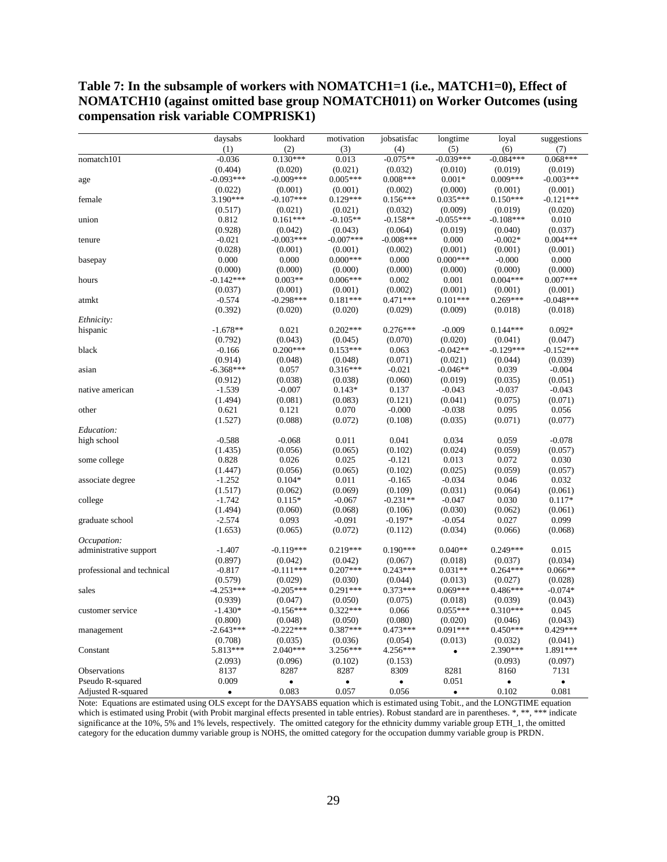**Table 7: In the subsample of workers with NOMATCH1=1 (i.e., MATCH1=0), Effect of NOMATCH10 (against omitted base group NOMATCH011) on Worker Outcomes (using compensation risk variable COMPRISK1)**

|                            | daysabs     | lookhard    | motivation  | jobsatisfac | longtime    | loyal       | suggestions |
|----------------------------|-------------|-------------|-------------|-------------|-------------|-------------|-------------|
|                            | (1)         | (2)         | (3)         | (4)         | (5)         | (6)         | (7)         |
| nomatch101                 | $-0.036$    | $0.130***$  | 0.013       | $-0.075**$  | $-0.039***$ | $-0.084***$ | $0.068***$  |
|                            | (0.404)     | (0.020)     | (0.021)     | (0.032)     | (0.010)     | (0.019)     | (0.019)     |
| age                        | $-0.093***$ | $-0.009***$ | $0.005***$  | $0.008***$  | $0.001*$    | $0.009***$  | $-0.003***$ |
|                            | (0.022)     | (0.001)     | (0.001)     | (0.002)     | (0.000)     | (0.001)     | (0.001)     |
| female                     | 3.190***    | $-0.107***$ | $0.129***$  | $0.156***$  | $0.035***$  | $0.150***$  | $-0.121***$ |
|                            | (0.517)     | (0.021)     | (0.021)     | (0.032)     | (0.009)     | (0.019)     | (0.020)     |
| union                      | 0.812       | $0.161***$  | $-0.105**$  | $-0.158**$  | $-0.055***$ | $-0.108***$ | 0.010       |
|                            | (0.928)     | (0.042)     | (0.043)     | (0.064)     | (0.019)     | (0.040)     | (0.037)     |
| tenure                     | $-0.021$    | $-0.003***$ | $-0.007***$ | $-0.008***$ | 0.000       | $-0.002*$   | $0.004***$  |
|                            | (0.028)     | (0.001)     | (0.001)     | (0.002)     | (0.001)     | (0.001)     | (0.001)     |
| basepay                    | 0.000       | 0.000       | $0.000***$  | 0.000       | $0.000***$  | $-0.000$    | 0.000       |
|                            | (0.000)     | (0.000)     | (0.000)     | (0.000)     | (0.000)     | (0.000)     | (0.000)     |
| hours                      | $-0.142***$ | $0.003**$   | $0.006***$  | 0.002       | 0.001       | $0.004***$  | $0.007***$  |
|                            | (0.037)     | (0.001)     | (0.001)     | (0.002)     | (0.001)     | (0.001)     | (0.001)     |
| atmkt                      | $-0.574$    | $-0.298***$ | $0.181***$  | $0.471***$  | $0.101***$  | $0.269***$  | $-0.048***$ |
|                            | (0.392)     | (0.020)     | (0.020)     | (0.029)     | (0.009)     | (0.018)     | (0.018)     |
| Ethnicity:                 |             |             |             |             |             |             |             |
| hispanic                   | $-1.678**$  | 0.021       | $0.202***$  | $0.276***$  | $-0.009$    | $0.144***$  | $0.092*$    |
|                            | (0.792)     | (0.043)     | (0.045)     | (0.070)     | (0.020)     | (0.041)     | (0.047)     |
| black                      | $-0.166$    | $0.200***$  | $0.153***$  | 0.063       | $-0.042**$  | $-0.129***$ | $-0.152***$ |
|                            | (0.914)     | (0.048)     | (0.048)     | (0.071)     | (0.021)     | (0.044)     | (0.039)     |
| asian                      | $-6.368***$ | 0.057       | $0.316***$  | $-0.021$    | $-0.046**$  | 0.039       | $-0.004$    |
|                            | (0.912)     | (0.038)     | (0.038)     | (0.060)     | (0.019)     | (0.035)     | (0.051)     |
| native american            | $-1.539$    | $-0.007$    | $0.143*$    | 0.137       | $-0.043$    | $-0.037$    | $-0.043$    |
|                            | (1.494)     | (0.081)     | (0.083)     | (0.121)     | (0.041)     | (0.075)     | (0.071)     |
| other                      | 0.621       | 0.121       | 0.070       | $-0.000$    | $-0.038$    | 0.095       | 0.056       |
|                            | (1.527)     | (0.088)     | (0.072)     | (0.108)     | (0.035)     | (0.071)     | (0.077)     |
| Education:                 |             |             |             |             |             |             |             |
| high school                | $-0.588$    | $-0.068$    | 0.011       | 0.041       | 0.034       | 0.059       | $-0.078$    |
|                            | (1.435)     | (0.056)     | (0.065)     | (0.102)     | (0.024)     | (0.059)     | (0.057)     |
| some college               | 0.828       | 0.026       | 0.025       | $-0.121$    | 0.013       | 0.072       | 0.030       |
|                            | (1.447)     | (0.056)     | (0.065)     | (0.102)     | (0.025)     | (0.059)     | (0.057)     |
| associate degree           | $-1.252$    | $0.104*$    | 0.011       | $-0.165$    | $-0.034$    | 0.046       | 0.032       |
|                            | (1.517)     | (0.062)     | (0.069)     | (0.109)     | (0.031)     | (0.064)     | (0.061)     |
| college                    | $-1.742$    | $0.115*$    | $-0.067$    | $-0.231**$  | $-0.047$    | 0.030       | $0.117*$    |
|                            | (1.494)     | (0.060)     | (0.068)     | (0.106)     | (0.030)     | (0.062)     | (0.061)     |
| graduate school            | $-2.574$    | 0.093       | $-0.091$    | $-0.197*$   | $-0.054$    | 0.027       | 0.099       |
|                            | (1.653)     | (0.065)     | (0.072)     | (0.112)     | (0.034)     | (0.066)     | (0.068)     |
| Occupation:                |             |             |             |             |             |             |             |
| administrative support     | $-1.407$    | $-0.119***$ | $0.219***$  | $0.190***$  | $0.040**$   | $0.249***$  | 0.015       |
|                            | (0.897)     | (0.042)     | (0.042)     | (0.067)     | (0.018)     | (0.037)     | (0.034)     |
| professional and technical | $-0.817$    | $-0.111***$ | $0.207***$  | $0.243***$  | $0.031**$   | $0.264***$  | $0.066**$   |
|                            | (0.579)     | (0.029)     | (0.030)     | (0.044)     | (0.013)     | (0.027)     | (0.028)     |
| sales                      | $-4.253***$ | $-0.205***$ | $0.291***$  | $0.373***$  | $0.069***$  | $0.486***$  | $-0.074*$   |
|                            | (0.939)     | (0.047)     | (0.050)     | (0.075)     | (0.018)     | (0.039)     | (0.043)     |
| customer service           | $-1.430*$   | $-0.156***$ | $0.322***$  | 0.066       | $0.055***$  | $0.310***$  | 0.045       |
|                            | (0.800)     | (0.048)     | (0.050)     | (0.080)     | (0.020)     | (0.046)     | (0.043)     |
| management                 | $-2.643***$ | $-0.222***$ | $0.387***$  | $0.473***$  | $0.091***$  | $0.450***$  | $0.429***$  |
|                            | (0.708)     | (0.035)     | (0.036)     | (0.054)     | (0.013)     | (0.032)     | (0.041)     |
| Constant                   | 5.813***    | 2.040***    | 3.256***    | 4.256***    | $\bullet$   | 2.390***    | 1.891***    |
|                            | (2.093)     | (0.096)     | (0.102)     | (0.153)     |             | (0.093)     | (0.097)     |
| Observations               | 8137        | 8287        | 8287        | 8309        | 8281        | 8160        | 7131        |
| Pseudo R-squared           | 0.009       | $\bullet$   | $\bullet$   | ٠           | 0.051       | $\bullet$   | $\bullet$   |
| Adjusted R-squared         | $\bullet$   | 0.083       | 0.057       | 0.056       | $\bullet$   | 0.102       | 0.081       |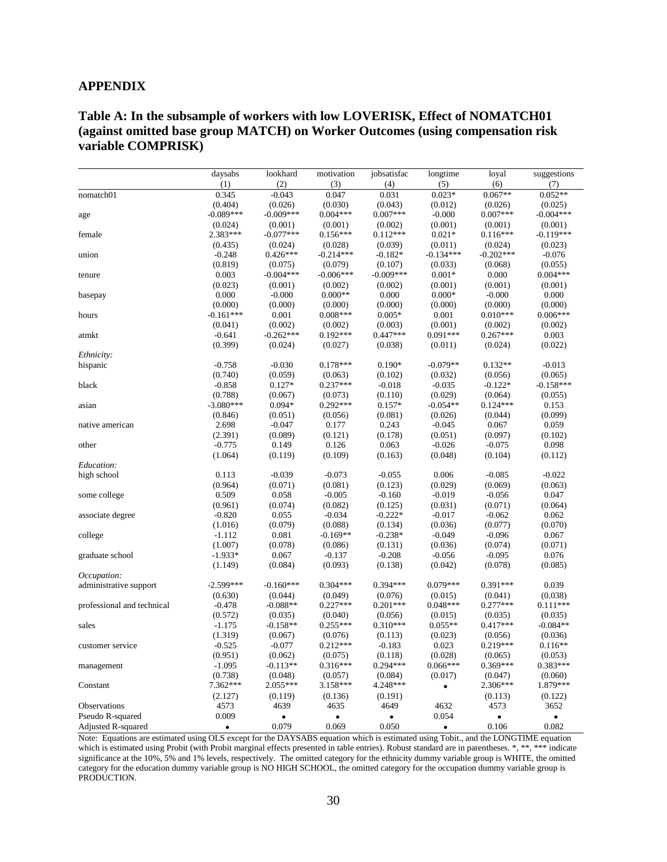#### **APPENDIX**

#### **Table A: In the subsample of workers with low LOVERISK, Effect of NOMATCH01 (against omitted base group MATCH) on Worker Outcomes (using compensation risk variable COMPRISK)**

|                            | daysabs          | lookhard         | motivation          | jobsatisfac         | longtime            | loyal               | suggestions      |
|----------------------------|------------------|------------------|---------------------|---------------------|---------------------|---------------------|------------------|
|                            | (1)              | (2)              | (3)                 | (4)                 | (5)                 | (6)                 | (7)              |
| nomatch01                  | 0.345            | $-0.043$         | 0.047               | 0.031               | $0.023*$            | $0.067**$           | $0.052**$        |
|                            | (0.404)          | (0.026)          | (0.030)             | (0.043)             | (0.012)             | (0.026)             | (0.025)          |
| age                        | $-0.089***$      | $-0.009***$      | $0.004***$          | $0.007***$          | $-0.000$            | $0.007***$          | $-0.004***$      |
|                            | (0.024)          | (0.001)          | (0.001)             | (0.002)             | (0.001)             | (0.001)             | (0.001)          |
| female                     | 2.383***         | $-0.077***$      | $0.156***$          | $0.112***$          | $0.021*$            | $0.116***$          | $-0.119***$      |
|                            | (0.435)          | (0.024)          | (0.028)             | (0.039)             | (0.011)             | (0.024)             | (0.023)          |
| union                      | $-0.248$         | $0.426***$       | $-0.214***$         | $-0.182*$           | $-0.134***$         | $-0.202***$         | $-0.076$         |
|                            | (0.819)          | (0.075)          | (0.079)             | (0.107)             | (0.033)             | (0.068)             | (0.055)          |
| tenure                     | 0.003            | $-0.004***$      | $-0.006***$         | $-0.009***$         | $0.001*$            | 0.000               | $0.004***$       |
|                            | (0.023)          | (0.001)          | (0.002)             | (0.002)             | (0.001)             | (0.001)             | (0.001)          |
| basepay                    | 0.000            | $-0.000$         | $0.000**$           | 0.000               | $0.000*$            | $-0.000$            | 0.000            |
|                            | (0.000)          | (0.000)          | (0.000)             | (0.000)             | (0.000)             | (0.000)             | (0.000)          |
| hours                      | $-0.161***$      | 0.001            | $0.008***$          | $0.005*$            | 0.001               | $0.010***$          | $0.006***$       |
|                            | (0.041)          | (0.002)          | (0.002)             | (0.003)             | (0.001)             | (0.002)             | (0.002)          |
| atmkt                      | $-0.641$         | $-0.262***$      | $0.192***$          | $0.447***$          | $0.091***$          | $0.267***$          | 0.003            |
|                            | (0.399)          | (0.024)          | (0.027)             | (0.038)             | (0.011)             | (0.024)             | (0.022)          |
| Ethnicity:                 |                  |                  |                     |                     |                     |                     |                  |
| hispanic                   | $-0.758$         | $-0.030$         | $0.178***$          | $0.190*$            | $-0.079**$          | $0.132**$           | $-0.013$         |
|                            | (0.740)          | (0.059)          | (0.063)             | (0.102)             | (0.032)             | (0.056)             | (0.065)          |
| black                      | $-0.858$         | $0.127*$         | $0.237***$          | $-0.018$            | $-0.035$            | $-0.122*$           | $-0.158***$      |
|                            | (0.788)          | (0.067)          | (0.073)             | (0.110)             | (0.029)             | (0.064)             | (0.055)          |
| asian                      | $-3.080***$      | $0.094*$         | $0.292***$          | $0.157*$            | $-0.054**$          | $0.124***$          | 0.153            |
|                            | (0.846)          | (0.051)          | (0.056)             | (0.081)             | (0.026)             | (0.044)             | (0.099)          |
| native american            | 2.698            | $-0.047$         | 0.177               | 0.243               | $-0.045$            | 0.067               | 0.059            |
|                            | (2.391)          | (0.089)          | (0.121)             | (0.178)             | (0.051)             | (0.097)             | (0.102)          |
| other                      | $-0.775$         | 0.149            | 0.126               | 0.063               | $-0.026$            | $-0.075$            | 0.098            |
|                            | (1.064)          | (0.119)          | (0.109)             | (0.163)             | (0.048)             | (0.104)             | (0.112)          |
| Education:                 |                  |                  |                     |                     |                     |                     |                  |
| high school                | 0.113            | $-0.039$         | $-0.073$            | $-0.055$            | 0.006               | $-0.085$            | $-0.022$         |
| some college               | (0.964)<br>0.509 | (0.071)<br>0.058 | (0.081)<br>$-0.005$ | (0.123)<br>$-0.160$ | (0.029)<br>$-0.019$ | (0.069)<br>$-0.056$ | (0.063)<br>0.047 |
|                            | (0.961)          | (0.074)          | (0.082)             | (0.125)             | (0.031)             | (0.071)             | (0.064)          |
|                            | $-0.820$         | 0.055            | $-0.034$            | $-0.222*$           | $-0.017$            | $-0.062$            | 0.062            |
| associate degree           | (1.016)          | (0.079)          | (0.088)             | (0.134)             | (0.036)             | (0.077)             | (0.070)          |
| college                    | $-1.112$         | 0.081            | $-0.169**$          | $-0.238*$           | $-0.049$            | $-0.096$            | 0.067            |
|                            | (1.007)          | (0.078)          | (0.086)             | (0.131)             | (0.036)             | (0.074)             | (0.071)          |
| graduate school            | $-1.933*$        | 0.067            | $-0.137$            | $-0.208$            | $-0.056$            | $-0.095$            | 0.076            |
|                            | (1.149)          | (0.084)          | (0.093)             | (0.138)             | (0.042)             | (0.078)             | (0.085)          |
| Occupation:                |                  |                  |                     |                     |                     |                     |                  |
| administrative support     | $-2.599***$      | $-0.160***$      | $0.304***$          | $0.394***$          | $0.079***$          | $0.391***$          | 0.039            |
|                            | (0.630)          | (0.044)          | (0.049)             | (0.076)             | (0.015)             | (0.041)             | (0.038)          |
| professional and technical | $-0.478$         | $-0.088**$       | $0.227***$          | $0.201***$          | $0.048***$          | $0.277***$          | $0.111***$       |
|                            | (0.572)          | (0.035)          | (0.040)             | (0.056)             | (0.015)             | (0.035)             | (0.035)          |
| sales                      | $-1.175$         | $-0.158**$       | $0.255***$          | $0.310***$          | $0.055**$           | $0.417***$          | $-0.084**$       |
|                            | (1.319)          | (0.067)          | (0.076)             | (0.113)             | (0.023)             | (0.056)             | (0.036)          |
| customer service           | $-0.525$         | $-0.077$         | $0.212***$          | $-0.183$            | 0.023               | $0.219***$          | $0.116**$        |
|                            | (0.951)          | (0.062)          | (0.075)             | (0.118)             | (0.028)             | (0.065)             | (0.053)          |
| management                 | $-1.095$         | $-0.113**$       | $0.316***$          | $0.294***$          | $0.066***$          | $0.369***$          | $0.383***$       |
|                            | (0.738)          | (0.048)          | (0.057)             | (0.084)             | (0.017)             | (0.047)             | (0.060)          |
| Constant                   | 7.362***         | 2.055***         | 3.158***            | 4.248***            | $\bullet$           | 2.306***            | 1.879***         |
|                            | (2.127)          | (0.119)          | (0.136)             | (0.191)             |                     | (0.113)             | (0.122)          |
| Observations               | 4573             | 4639             | 4635                | 4649                | 4632                | 4573                | 3652             |
| Pseudo R-squared           | 0.009            | $\bullet$        | $\bullet$           | ٠                   | 0.054               | $\bullet$           | $\bullet$        |
| Adjusted R-squared         | $\bullet$        | 0.079            | 0.069               | 0.050               | $\bullet$           | 0.106               | 0.082            |